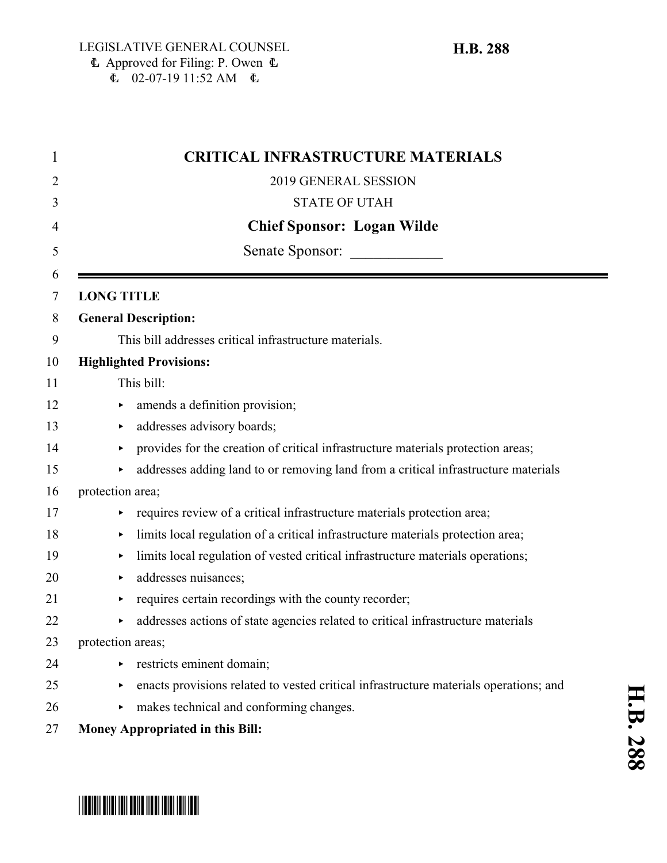| <b>CRITICAL INFRASTRUCTURE MATERIALS</b>                                              |
|---------------------------------------------------------------------------------------|
| 2019 GENERAL SESSION                                                                  |
| <b>STATE OF UTAH</b>                                                                  |
| <b>Chief Sponsor: Logan Wilde</b>                                                     |
| Senate Sponsor:                                                                       |
| <b>LONG TITLE</b>                                                                     |
| <b>General Description:</b>                                                           |
| This bill addresses critical infrastructure materials.                                |
| <b>Highlighted Provisions:</b>                                                        |
| This bill:                                                                            |
| amends a definition provision;<br>▶                                                   |
| addresses advisory boards;<br>▶                                                       |
| provides for the creation of critical infrastructure materials protection areas;<br>▶ |
| addresses adding land to or removing land from a critical infrastructure materials    |
| protection area;                                                                      |
| requires review of a critical infrastructure materials protection area;               |
| limits local regulation of a critical infrastructure materials protection area;<br>▶  |
| limits local regulation of vested critical infrastructure materials operations;<br>▶  |
| addresses nuisances;<br>▶                                                             |
| requires certain recordings with the county recorder;<br>▶                            |
| addresses actions of state agencies related to critical infrastructure materials<br>▶ |
| protection areas;                                                                     |
| restricts eminent domain;                                                             |
| enacts provisions related to vested critical infrastructure materials operations; and |
| makes technical and conforming changes.<br>Þ.                                         |
| Money Appropriated in this Bill:                                                      |

# \*HB0288\*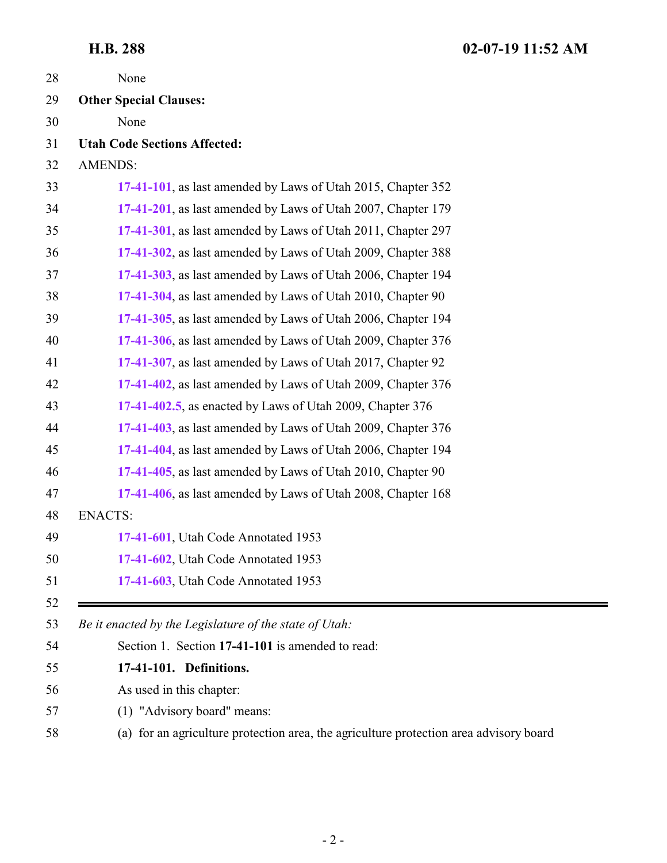<span id="page-1-0"></span>

| 28 | None                                                                                   |
|----|----------------------------------------------------------------------------------------|
| 29 | <b>Other Special Clauses:</b>                                                          |
| 30 | None                                                                                   |
| 31 | <b>Utah Code Sections Affected:</b>                                                    |
| 32 | <b>AMENDS:</b>                                                                         |
| 33 | 17-41-101, as last amended by Laws of Utah 2015, Chapter 352                           |
| 34 | 17-41-201, as last amended by Laws of Utah 2007, Chapter 179                           |
| 35 | 17-41-301, as last amended by Laws of Utah 2011, Chapter 297                           |
| 36 | 17-41-302, as last amended by Laws of Utah 2009, Chapter 388                           |
| 37 | 17-41-303, as last amended by Laws of Utah 2006, Chapter 194                           |
| 38 | 17-41-304, as last amended by Laws of Utah 2010, Chapter 90                            |
| 39 | 17-41-305, as last amended by Laws of Utah 2006, Chapter 194                           |
| 40 | 17-41-306, as last amended by Laws of Utah 2009, Chapter 376                           |
| 41 | 17-41-307, as last amended by Laws of Utah 2017, Chapter 92                            |
| 42 | 17-41-402, as last amended by Laws of Utah 2009, Chapter 376                           |
| 43 | 17-41-402.5, as enacted by Laws of Utah 2009, Chapter 376                              |
| 44 | 17-41-403, as last amended by Laws of Utah 2009, Chapter 376                           |
| 45 | 17-41-404, as last amended by Laws of Utah 2006, Chapter 194                           |
| 46 | 17-41-405, as last amended by Laws of Utah 2010, Chapter 90                            |
| 47 | 17-41-406, as last amended by Laws of Utah 2008, Chapter 168                           |
| 48 | <b>ENACTS:</b>                                                                         |
| 49 | 17-41-601, Utah Code Annotated 1953                                                    |
| 50 | 17-41-602, Utah Code Annotated 1953                                                    |
| 51 | 17-41-603, Utah Code Annotated 1953                                                    |
| 52 |                                                                                        |
| 53 | Be it enacted by the Legislature of the state of Utah:                                 |
| 54 | Section 1. Section 17-41-101 is amended to read:                                       |
| 55 | 17-41-101. Definitions.                                                                |
| 56 | As used in this chapter:                                                               |
| 57 | (1) "Advisory board" means:                                                            |
| 58 | (a) for an agriculture protection area, the agriculture protection area advisory board |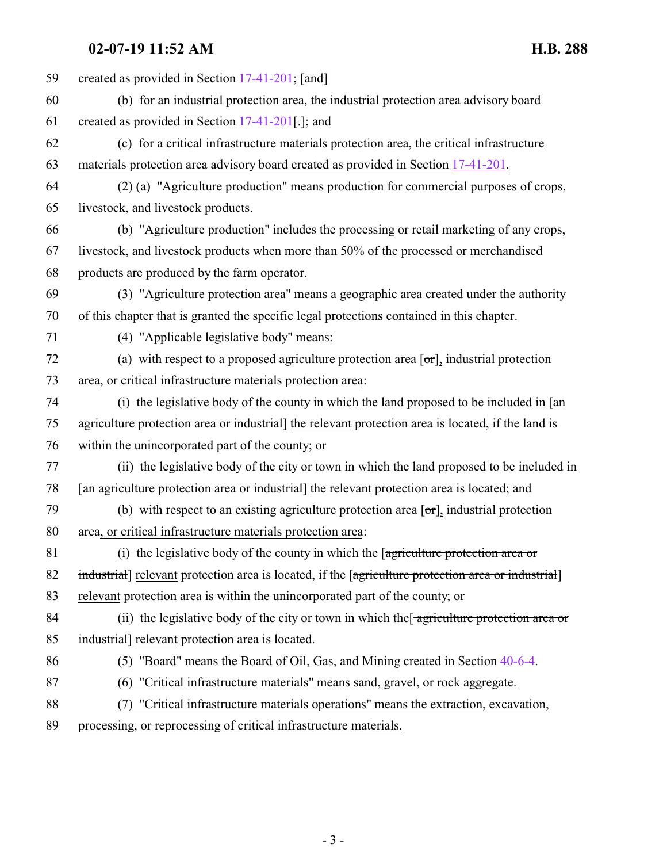### 02-07-19 11:52 AM

| <b>H.B. 288</b> |  |
|-----------------|--|
|-----------------|--|

| 59 | created as provided in Section 17-41-201; [and]                                                                    |
|----|--------------------------------------------------------------------------------------------------------------------|
| 60 | (b) for an industrial protection area, the industrial protection area advisory board                               |
| 61 | created as provided in Section $17-41-201$ .]; and                                                                 |
| 62 | (c) for a critical infrastructure materials protection area, the critical infrastructure                           |
| 63 | materials protection area advisory board created as provided in Section 17-41-201.                                 |
| 64 | (2) (a) "Agriculture production" means production for commercial purposes of crops,                                |
| 65 | livestock, and livestock products.                                                                                 |
| 66 | (b) "Agriculture production" includes the processing or retail marketing of any crops,                             |
| 67 | livestock, and livestock products when more than 50% of the processed or merchandised                              |
| 68 | products are produced by the farm operator.                                                                        |
| 69 | (3) "Agriculture protection area" means a geographic area created under the authority                              |
| 70 | of this chapter that is granted the specific legal protections contained in this chapter.                          |
| 71 | (4) "Applicable legislative body" means:                                                                           |
| 72 | (a) with respect to a proposed agriculture protection area $[\sigma r]$ , industrial protection                    |
| 73 | area, or critical infrastructure materials protection area:                                                        |
| 74 | (i) the legislative body of the county in which the land proposed to be included in $\left[\frac{a_n}{a_n}\right]$ |
| 75 | agriculture protection area or industrial] the relevant protection area is located, if the land is                 |
| 76 | within the unincorporated part of the county; or                                                                   |
| 77 | (ii) the legislative body of the city or town in which the land proposed to be included in                         |
| 78 | [an agriculture protection area or industrial] the relevant protection area is located; and                        |
| 79 | (b) with respect to an existing agriculture protection area $[\sigma_{\text{r}}]$ , industrial protection          |
| 80 | area, or critical infrastructure materials protection area:                                                        |
| 81 | (i) the legislative body of the county in which the $\sqrt{q}$ are protection area or                              |
| 82 | industrial] relevant protection area is located, if the [agriculture protection area or industrial]                |
| 83 | relevant protection area is within the unincorporated part of the county; or                                       |
| 84 | (ii) the legislative body of the city or town in which the agriculture protection area or                          |
| 85 | industrial] relevant protection area is located.                                                                   |
| 86 | (5) "Board" means the Board of Oil, Gas, and Mining created in Section 40-6-4.                                     |
| 87 | "Critical infrastructure materials" means sand, gravel, or rock aggregate.<br>(6)                                  |
| 88 | "Critical infrastructure materials operations" means the extraction, excavation,<br>(7)                            |
| 89 | processing, or reprocessing of critical infrastructure materials.                                                  |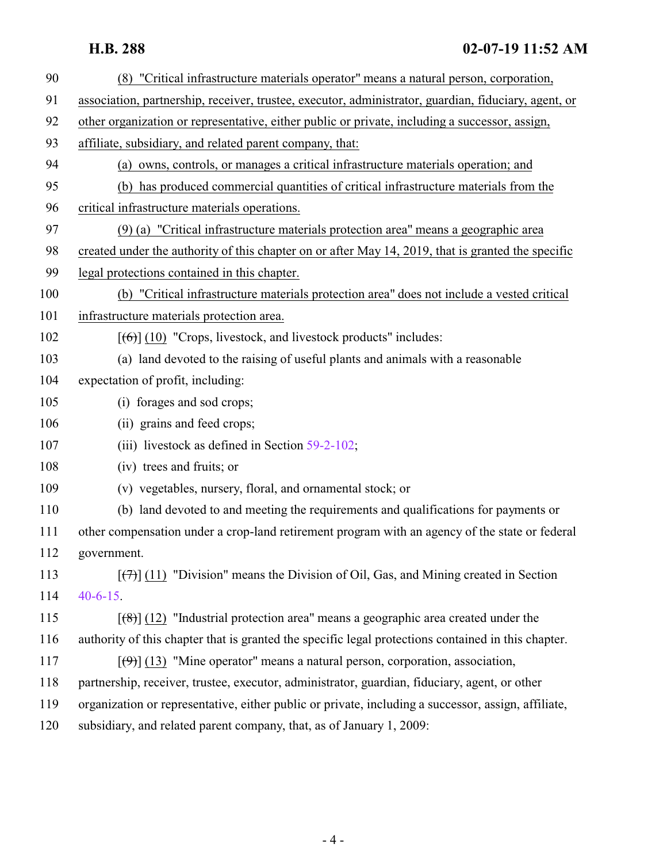| 90  | (8) "Critical infrastructure materials operator" means a natural person, corporation,                |
|-----|------------------------------------------------------------------------------------------------------|
| 91  | association, partnership, receiver, trustee, executor, administrator, guardian, fiduciary, agent, or |
| 92  | other organization or representative, either public or private, including a successor, assign,       |
| 93  | affiliate, subsidiary, and related parent company, that:                                             |
| 94  | (a) owns, controls, or manages a critical infrastructure materials operation; and                    |
| 95  | (b) has produced commercial quantities of critical infrastructure materials from the                 |
| 96  | critical infrastructure materials operations.                                                        |
| 97  | (9) (a) "Critical infrastructure materials protection area" means a geographic area                  |
| 98  | created under the authority of this chapter on or after May 14, 2019, that is granted the specific   |
| 99  | legal protections contained in this chapter.                                                         |
| 100 | (b) "Critical infrastructure materials protection area" does not include a vested critical           |
| 101 | infrastructure materials protection area.                                                            |
| 102 | $[66]$ (10) "Crops, livestock, and livestock products" includes:                                     |
| 103 | (a) land devoted to the raising of useful plants and animals with a reasonable                       |
| 104 | expectation of profit, including:                                                                    |
| 105 | (i) forages and sod crops;                                                                           |
| 106 | (ii) grains and feed crops;                                                                          |
| 107 | (iii) livestock as defined in Section $59-2-102$ ;                                                   |
| 108 | (iv) trees and fruits; or                                                                            |
| 109 | (v) vegetables, nursery, floral, and ornamental stock; or                                            |
| 110 | (b) land devoted to and meeting the requirements and qualifications for payments or                  |
| 111 | other compensation under a crop-land retirement program with an agency of the state or federal       |
| 112 | government.                                                                                          |
| 113 | $[\overline{(+)}]$ (11) "Division" means the Division of Oil, Gas, and Mining created in Section     |
| 114 | $40 - 6 - 15$ .                                                                                      |
| 115 | $[$ (48)] (12) "Industrial protection area" means a geographic area created under the                |
| 116 | authority of this chapter that is granted the specific legal protections contained in this chapter.  |
| 117 | $[\langle 9 \rangle]$ (13) "Mine operator" means a natural person, corporation, association,         |
| 118 | partnership, receiver, trustee, executor, administrator, guardian, fiduciary, agent, or other        |
| 119 | organization or representative, either public or private, including a successor, assign, affiliate,  |
| 120 | subsidiary, and related parent company, that, as of January 1, 2009:                                 |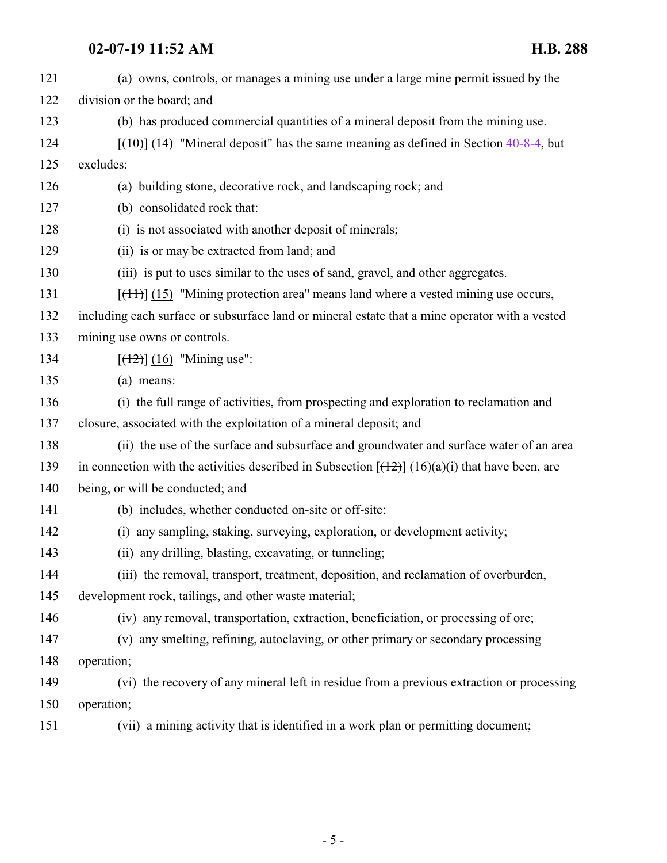| 121 | (a) owns, controls, or manages a mining use under a large mine permit issued by the               |
|-----|---------------------------------------------------------------------------------------------------|
| 122 | division or the board; and                                                                        |
| 123 | (b) has produced commercial quantities of a mineral deposit from the mining use.                  |
| 124 | $[({10})]$ (14) "Mineral deposit" has the same meaning as defined in Section 40-8-4, but          |
| 125 | excludes:                                                                                         |
| 126 | (a) building stone, decorative rock, and landscaping rock; and                                    |
| 127 | (b) consolidated rock that:                                                                       |
| 128 | (i) is not associated with another deposit of minerals;                                           |
| 129 | (ii) is or may be extracted from land; and                                                        |
| 130 | (iii) is put to uses similar to the uses of sand, gravel, and other aggregates.                   |
| 131 | $[$ (14+)] (15) "Mining protection area" means land where a vested mining use occurs,             |
| 132 | including each surface or subsurface land or mineral estate that a mine operator with a vested    |
| 133 | mining use owns or controls.                                                                      |
| 134 | $[(12)] (16)$ "Mining use":                                                                       |
| 135 | (a) means:                                                                                        |
| 136 | (i) the full range of activities, from prospecting and exploration to reclamation and             |
| 137 | closure, associated with the exploitation of a mineral deposit; and                               |
| 138 | (ii) the use of the surface and subsurface and groundwater and surface water of an area           |
| 139 | in connection with the activities described in Subsection $[(12)] (16)(a)(i)$ that have been, are |
| 140 | being, or will be conducted; and                                                                  |
| 141 | (b) includes, whether conducted on-site or off-site:                                              |
| 142 | (i) any sampling, staking, surveying, exploration, or development activity;                       |
| 143 | (ii) any drilling, blasting, excavating, or tunneling;                                            |
| 144 | (iii) the removal, transport, treatment, deposition, and reclamation of overburden,               |
| 145 | development rock, tailings, and other waste material;                                             |
| 146 | (iv) any removal, transportation, extraction, beneficiation, or processing of ore;                |
| 147 | (v) any smelting, refining, autoclaving, or other primary or secondary processing                 |
| 148 | operation;                                                                                        |
| 149 | (vi) the recovery of any mineral left in residue from a previous extraction or processing         |
| 150 | operation;                                                                                        |
| 151 | (vii) a mining activity that is identified in a work plan or permitting document;                 |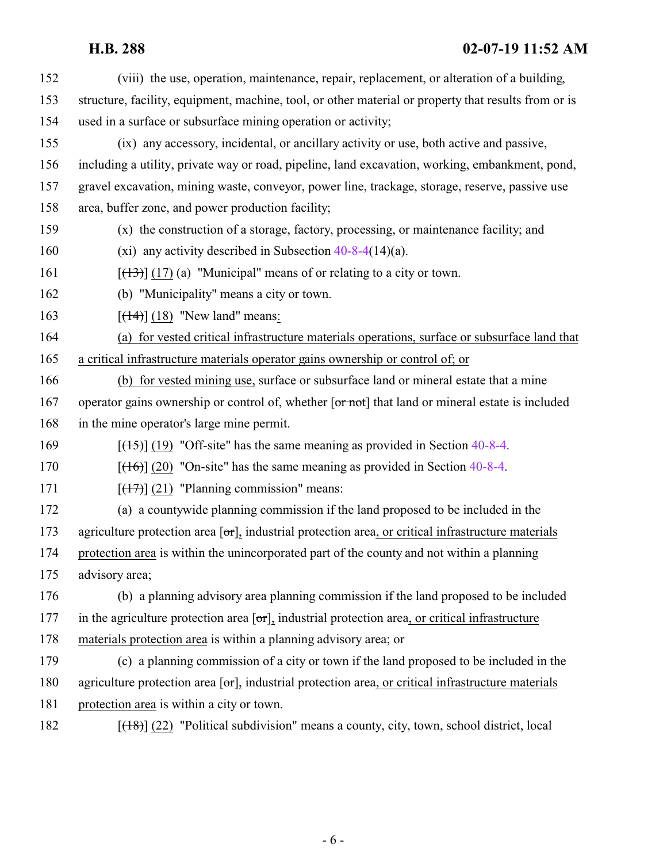| 152 | (viii) the use, operation, maintenance, repair, replacement, or alteration of a building,                   |
|-----|-------------------------------------------------------------------------------------------------------------|
| 153 | structure, facility, equipment, machine, tool, or other material or property that results from or is        |
| 154 | used in a surface or subsurface mining operation or activity;                                               |
| 155 | (ix) any accessory, incidental, or ancillary activity or use, both active and passive,                      |
| 156 | including a utility, private way or road, pipeline, land excavation, working, embankment, pond,             |
| 157 | gravel excavation, mining waste, conveyor, power line, trackage, storage, reserve, passive use              |
| 158 | area, buffer zone, and power production facility;                                                           |
| 159 | (x) the construction of a storage, factory, processing, or maintenance facility; and                        |
| 160 | (xi) any activity described in Subsection $40-8-4(14)(a)$ .                                                 |
| 161 | $[ (13) ] (17)$ (a) "Municipal" means of or relating to a city or town.                                     |
| 162 | (b) "Municipality" means a city or town.                                                                    |
| 163 | $[ (14) ] (18)$ "New land" means:                                                                           |
| 164 | (a) for vested critical infrastructure materials operations, surface or subsurface land that                |
| 165 | a critical infrastructure materials operator gains ownership or control of; or                              |
| 166 | (b) for vested mining use, surface or subsurface land or mineral estate that a mine                         |
| 167 | operator gains ownership or control of, whether [or not] that land or mineral estate is included            |
| 168 | in the mine operator's large mine permit.                                                                   |
| 169 | $[ (15) ]$ (19) "Off-site" has the same meaning as provided in Section 40-8-4.                              |
| 170 | $[ (16) ] (20)$ "On-site" has the same meaning as provided in Section 40-8-4.                               |
| 171 | $[ (17) ]$ (21) "Planning commission" means:                                                                |
| 172 | (a) a countywide planning commission if the land proposed to be included in the                             |
| 173 | agriculture protection area $[\sigma r]$ , industrial protection area, or critical infrastructure materials |
| 174 | protection area is within the unincorporated part of the county and not within a planning                   |
| 175 | advisory area;                                                                                              |
| 176 | (b) a planning advisory area planning commission if the land proposed to be included                        |
| 177 | in the agriculture protection area $[\sigma r]$ , industrial protection area, or critical infrastructure    |
| 178 | materials protection area is within a planning advisory area; or                                            |
| 179 | (c) a planning commission of a city or town if the land proposed to be included in the                      |
| 180 | agriculture protection area $[\sigma r]$ , industrial protection area, or critical infrastructure materials |
| 181 | protection area is within a city or town.                                                                   |
| 182 | $[$ ( $+$ 8)] $(22)$ "Political subdivision" means a county, city, town, school district, local             |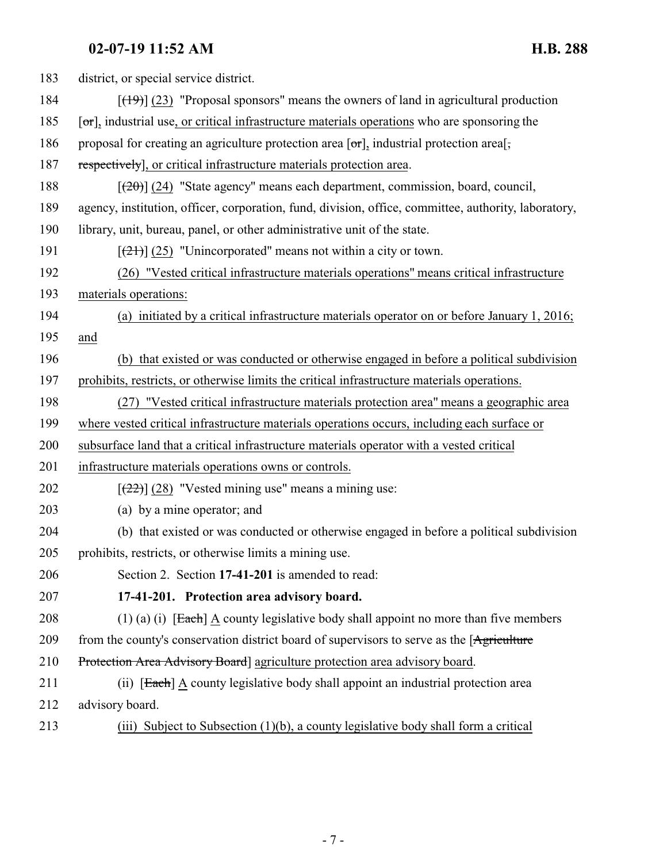<span id="page-6-0"></span>

| 183 | district, or special service district.                                                                         |
|-----|----------------------------------------------------------------------------------------------------------------|
| 184 | $[$ (49)] (23) "Proposal sponsors" means the owners of land in agricultural production                         |
| 185 | $[\sigma_{\text{r}}]$ , industrial use, or critical infrastructure materials operations who are sponsoring the |
| 186 | proposal for creating an agriculture protection area $[\sigma r]$ , industrial protection area $[\sigma$ ,     |
| 187 | respectively], or critical infrastructure materials protection area.                                           |
| 188 | $[20]$ (24) "State agency" means each department, commission, board, council,                                  |
| 189 | agency, institution, officer, corporation, fund, division, office, committee, authority, laboratory,           |
| 190 | library, unit, bureau, panel, or other administrative unit of the state.                                       |
| 191 | $[\frac{(21)}{(25)}]$ "Unincorporated" means not within a city or town.                                        |
| 192 | (26) "Vested critical infrastructure materials operations" means critical infrastructure                       |
| 193 | materials operations:                                                                                          |
| 194 | (a) initiated by a critical infrastructure materials operator on or before January 1, 2016;                    |
| 195 | and                                                                                                            |
| 196 | (b) that existed or was conducted or otherwise engaged in before a political subdivision                       |
| 197 | prohibits, restricts, or otherwise limits the critical infrastructure materials operations.                    |
| 198 | (27) "Vested critical infrastructure materials protection area" means a geographic area                        |
| 199 | where vested critical infrastructure materials operations occurs, including each surface or                    |
| 200 | subsurface land that a critical infrastructure materials operator with a vested critical                       |
| 201 | infrastructure materials operations owns or controls.                                                          |
| 202 | $[\frac{22}{2}]$ (28) "Vested mining use" means a mining use:                                                  |
| 203 | (a) by a mine operator; and                                                                                    |
| 204 | (b) that existed or was conducted or otherwise engaged in before a political subdivision                       |
| 205 | prohibits, restricts, or otherwise limits a mining use.                                                        |
| 206 | Section 2. Section 17-41-201 is amended to read:                                                               |
| 207 | 17-41-201. Protection area advisory board.                                                                     |
| 208 | $(1)$ (a) (i) [Each] A county legislative body shall appoint no more than five members                         |
| 209 | from the county's conservation district board of supervisors to serve as the [Agriculture]                     |
| 210 | Protection Area Advisory Board agriculture protection area advisory board.                                     |
| 211 | (ii) [Each] A county legislative body shall appoint an industrial protection area                              |
| 212 | advisory board.                                                                                                |
| 213 | (iii) Subject to Subsection (1)(b), a county legislative body shall form a critical                            |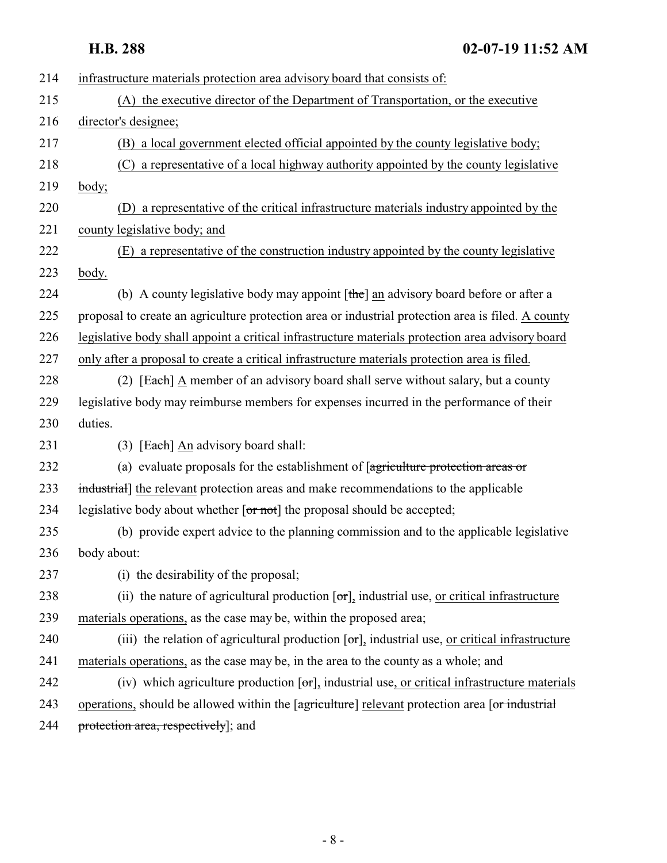| 214 | infrastructure materials protection area advisory board that consists of:                                         |
|-----|-------------------------------------------------------------------------------------------------------------------|
| 215 | (A) the executive director of the Department of Transportation, or the executive                                  |
| 216 | director's designee;                                                                                              |
| 217 | (B) a local government elected official appointed by the county legislative body;                                 |
| 218 | (C) a representative of a local highway authority appointed by the county legislative                             |
| 219 | body;                                                                                                             |
| 220 | (D) a representative of the critical infrastructure materials industry appointed by the                           |
| 221 | county legislative body; and                                                                                      |
| 222 | (E) a representative of the construction industry appointed by the county legislative                             |
| 223 | body.                                                                                                             |
| 224 | (b) A county legislative body may appoint $[\theta]$ an advisory board before or after a                          |
| 225 | proposal to create an agriculture protection area or industrial protection area is filed. A county                |
| 226 | legislative body shall appoint a critical infrastructure materials protection area advisory board                 |
| 227 | only after a proposal to create a critical infrastructure materials protection area is filed.                     |
| 228 | (2) [Each] A member of an advisory board shall serve without salary, but a county                                 |
| 229 | legislative body may reimburse members for expenses incurred in the performance of their                          |
| 230 | duties.                                                                                                           |
| 231 | $(3)$ [Each] An advisory board shall:                                                                             |
| 232 | (a) evaluate proposals for the establishment of $[$ agriculture protection areas or                               |
| 233 | industrial] the relevant protection areas and make recommendations to the applicable                              |
| 234 | legislative body about whether $\lceil \text{or not} \rceil$ the proposal should be accepted;                     |
| 235 | (b) provide expert advice to the planning commission and to the applicable legislative                            |
| 236 | body about:                                                                                                       |
| 237 | (i) the desirability of the proposal;                                                                             |
| 238 | (ii) the nature of agricultural production $\lceil \sigma r \rceil$ , industrial use, or critical infrastructure  |
| 239 | materials operations, as the case may be, within the proposed area;                                               |
| 240 | (iii) the relation of agricultural production $[\sigma \tau]$ , industrial use, or critical infrastructure        |
| 241 | materials operations, as the case may be, in the area to the county as a whole; and                               |
| 242 | (iv) which agriculture production $\lceil \sigma r \rceil$ , industrial use, or critical infrastructure materials |
| 243 | operations, should be allowed within the [agriculture] relevant protection area [or industrial]                   |
| 244 | protection area, respectively]; and                                                                               |
|     |                                                                                                                   |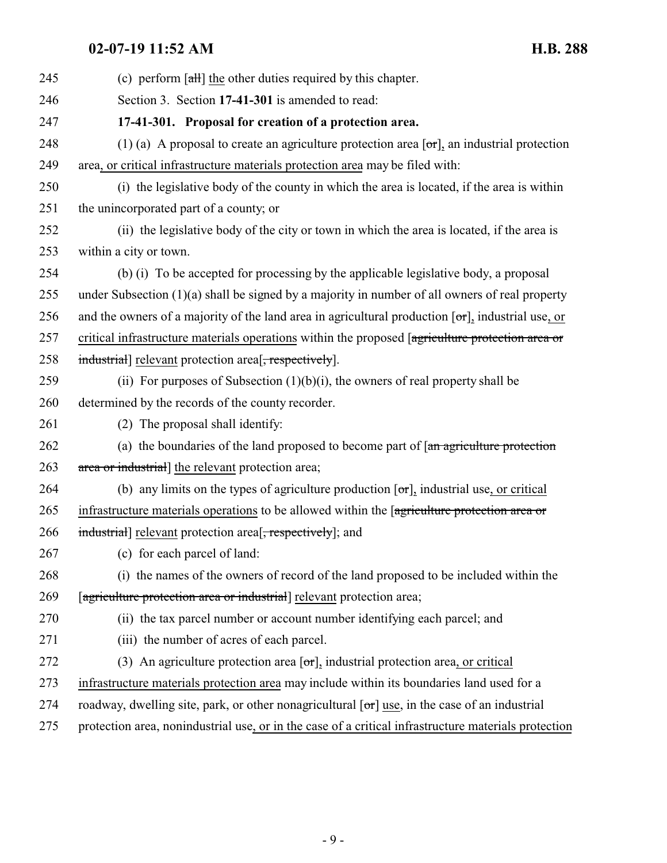<span id="page-8-0"></span>

| 245 | (c) perform $\lceil$ alleg the other duties required by this chapter.                                        |
|-----|--------------------------------------------------------------------------------------------------------------|
| 246 | Section 3. Section 17-41-301 is amended to read:                                                             |
| 247 | 17-41-301. Proposal for creation of a protection area.                                                       |
| 248 | (1) (a) A proposal to create an agriculture protection area $[\sigma r]$ , an industrial protection          |
| 249 | area, or critical infrastructure materials protection area may be filed with:                                |
| 250 | (i) the legislative body of the county in which the area is located, if the area is within                   |
| 251 | the unincorporated part of a county; or                                                                      |
| 252 | (ii) the legislative body of the city or town in which the area is located, if the area is                   |
| 253 | within a city or town.                                                                                       |
| 254 | (b) (i) To be accepted for processing by the applicable legislative body, a proposal                         |
| 255 | under Subsection $(1)(a)$ shall be signed by a majority in number of all owners of real property             |
| 256 | and the owners of a majority of the land area in agricultural production $[\sigma\tau]$ , industrial use, or |
| 257 | critical infrastructure materials operations within the proposed [agriculture protection area or             |
| 258 | industrial] relevant protection area <sup>[</sup> , respectively].                                           |
| 259 | (ii) For purposes of Subsection $(1)(b)(i)$ , the owners of real property shall be                           |
| 260 | determined by the records of the county recorder.                                                            |
| 261 | (2) The proposal shall identify:                                                                             |
| 262 | (a) the boundaries of the land proposed to become part of $[an$ agriculture protection                       |
| 263 | area or industrial] the relevant protection area;                                                            |
| 264 | (b) any limits on the types of agriculture production $[\sigma \tau]$ , industrial use, or critical          |
| 265 | infrastructure materials operations to be allowed within the [agriculture protection area or                 |
| 266 | industrial] relevant protection area <sup>[-</sup> , respectively]; and                                      |
| 267 | (c) for each parcel of land:                                                                                 |
| 268 | (i) the names of the owners of record of the land proposed to be included within the                         |
| 269 | [agriculture protection area or industrial] relevant protection area;                                        |
| 270 | (ii) the tax parcel number or account number identifying each parcel; and                                    |
| 271 | (iii) the number of acres of each parcel.                                                                    |
| 272 | (3) An agriculture protection area $\lceil \sigma r \rceil$ , industrial protection area, or critical        |
| 273 | infrastructure materials protection area may include within its boundaries land used for a                   |
| 274 | roadway, dwelling site, park, or other nonagricultural $[\sigma r]$ use, in the case of an industrial        |
| 275 | protection area, nonindustrial use, or in the case of a critical infrastructure materials protection         |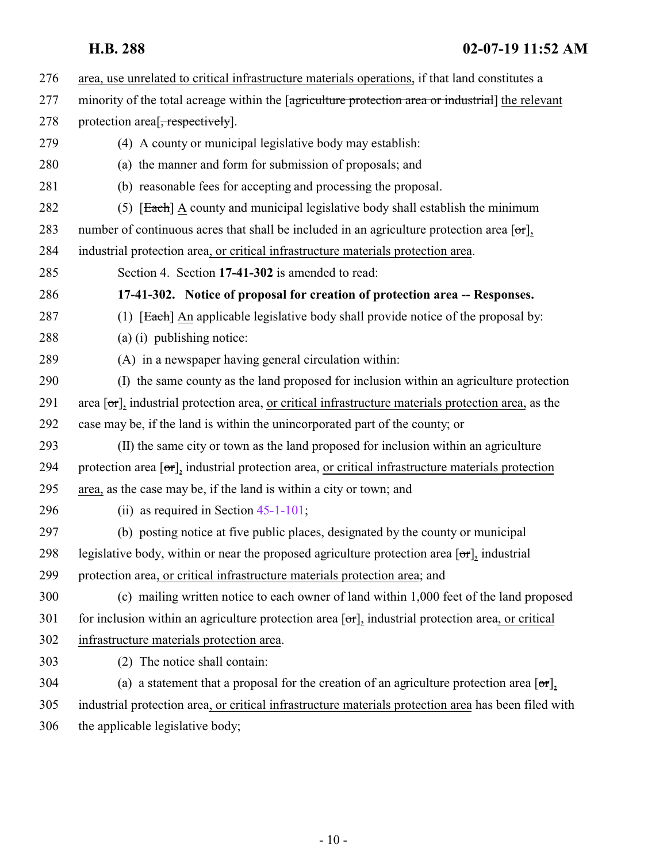<span id="page-9-0"></span> area, use unrelated to critical infrastructure materials operations, if that land constitutes a 277 minority of the total acreage within the [agriculture protection area or industrial] the relevant 278 protection area<sup>[</sup>, respectively]. (4) A county or municipal legislative body may establish: (a) the manner and form for submission of proposals; and (b) reasonable fees for accepting and processing the proposal. 282 (5) **[Each]** A county and municipal legislative body shall establish the minimum 283 number of continuous acres that shall be included in an agriculture protection area  $\lceil \sigma r \rceil$ , industrial protection area, or critical infrastructure materials protection area. Section 4. Section **17-41-302** is amended to read: **17-41-302. Notice of proposal for creation of protection area -- Responses.** 287 (1) [Each] An applicable legislative body shall provide notice of the proposal by: (a) (i) publishing notice: (A) in a newspaper having general circulation within: (I) the same county as the land proposed for inclusion within an agriculture protection 291 area  $\sigma$ , industrial protection area, or critical infrastructure materials protection area, as the case may be, if the land is within the unincorporated part of the county; or (II) the same city or town as the land proposed for inclusion within an agriculture 294 protection area  $\sigma$ , industrial protection area, or critical infrastructure materials protection area, as the case may be, if the land is within a city or town; and (ii) as required in Section [45-1-101](http://le.utah.gov/UtahCode/SectionLookup.jsp?section=45-1-101&session=2019GS); (b) posting notice at five public places, designated by the county or municipal 298 legislative body, within or near the proposed agriculture protection area  $\sigma$ , industrial protection area, or critical infrastructure materials protection area; and (c) mailing written notice to each owner of land within 1,000 feet of the land proposed for inclusion within an agriculture protection area [ $\sigma$ r], industrial protection area, or critical infrastructure materials protection area. (2) The notice shall contain: 304 (a) a statement that a proposal for the creation of an agriculture protection area  $[\sigma r]$ , industrial protection area, or critical infrastructure materials protection area has been filed with the applicable legislative body;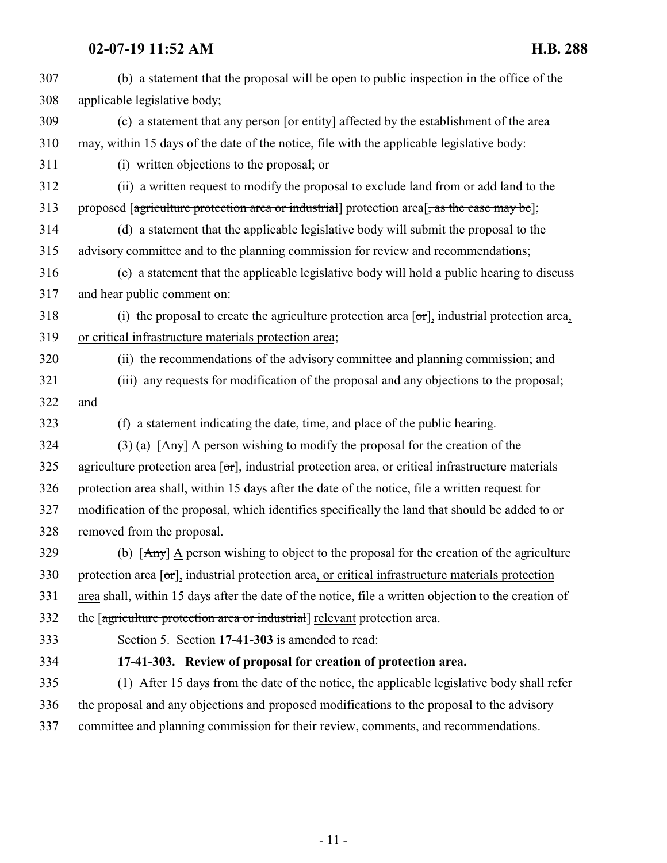<span id="page-10-0"></span>

| 307 | (b) a statement that the proposal will be open to public inspection in the office of the                            |
|-----|---------------------------------------------------------------------------------------------------------------------|
| 308 | applicable legislative body;                                                                                        |
| 309 | (c) a statement that any person $\overline{or \text{ entity}}$ affected by the establishment of the area            |
| 310 | may, within 15 days of the date of the notice, file with the applicable legislative body:                           |
| 311 | (i) written objections to the proposal; or                                                                          |
| 312 | (ii) a written request to modify the proposal to exclude land from or add land to the                               |
| 313 | proposed [agriculture protection area or industrial] protection area [, as the case may be];                        |
| 314 | (d) a statement that the applicable legislative body will submit the proposal to the                                |
| 315 | advisory committee and to the planning commission for review and recommendations;                                   |
| 316 | (e) a statement that the applicable legislative body will hold a public hearing to discuss                          |
| 317 | and hear public comment on:                                                                                         |
| 318 | (i) the proposal to create the agriculture protection area $[\sigma \tau]$ , industrial protection area,            |
| 319 | or critical infrastructure materials protection area;                                                               |
| 320 | (ii) the recommendations of the advisory committee and planning commission; and                                     |
| 321 | (iii) any requests for modification of the proposal and any objections to the proposal;                             |
| 322 | and                                                                                                                 |
| 323 | (f) a statement indicating the date, time, and place of the public hearing.                                         |
| 324 | (3) (a) $[Amy]$ A person wishing to modify the proposal for the creation of the                                     |
| 325 | agriculture protection area $[\sigma r]$ , industrial protection area, or critical infrastructure materials         |
| 326 | protection area shall, within 15 days after the date of the notice, file a written request for                      |
| 327 | modification of the proposal, which identifies specifically the land that should be added to or                     |
| 328 | removed from the proposal.                                                                                          |
| 329 | (b) $[Any] \triangle$ person wishing to object to the proposal for the creation of the agriculture                  |
| 330 | protection area $[\sigma_{\text{r}}]$ , industrial protection area, or critical infrastructure materials protection |
| 331 | area shall, within 15 days after the date of the notice, file a written objection to the creation of                |
| 332 | the [agriculture protection area or industrial] relevant protection area.                                           |
| 333 | Section 5. Section 17-41-303 is amended to read:                                                                    |
| 334 | 17-41-303. Review of proposal for creation of protection area.                                                      |
| 335 | (1) After 15 days from the date of the notice, the applicable legislative body shall refer                          |
| 336 | the proposal and any objections and proposed modifications to the proposal to the advisory                          |
| 337 | committee and planning commission for their review, comments, and recommendations.                                  |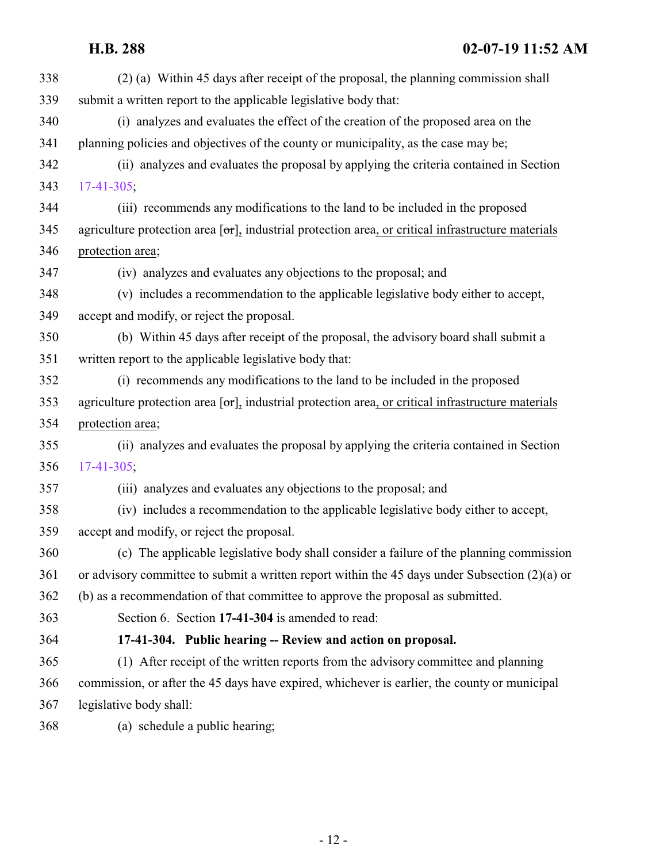<span id="page-11-0"></span>

| 338 | (2) (a) Within 45 days after receipt of the proposal, the planning commission shall                         |
|-----|-------------------------------------------------------------------------------------------------------------|
| 339 | submit a written report to the applicable legislative body that:                                            |
| 340 | (i) analyzes and evaluates the effect of the creation of the proposed area on the                           |
| 341 | planning policies and objectives of the county or municipality, as the case may be;                         |
| 342 | (ii) analyzes and evaluates the proposal by applying the criteria contained in Section                      |
| 343 | $17-41-305$ ;                                                                                               |
| 344 | (iii) recommends any modifications to the land to be included in the proposed                               |
| 345 | agriculture protection area $[\sigma r]$ , industrial protection area, or critical infrastructure materials |
| 346 | protection area;                                                                                            |
| 347 | (iv) analyzes and evaluates any objections to the proposal; and                                             |
| 348 | (v) includes a recommendation to the applicable legislative body either to accept,                          |
| 349 | accept and modify, or reject the proposal.                                                                  |
| 350 | (b) Within 45 days after receipt of the proposal, the advisory board shall submit a                         |
| 351 | written report to the applicable legislative body that:                                                     |
| 352 | (i) recommends any modifications to the land to be included in the proposed                                 |
| 353 | agriculture protection area $[\sigma r]$ , industrial protection area, or critical infrastructure materials |
| 354 | protection area;                                                                                            |
| 355 | (ii) analyzes and evaluates the proposal by applying the criteria contained in Section                      |
| 356 | $17-41-305$ ;                                                                                               |
| 357 | (iii) analyzes and evaluates any objections to the proposal; and                                            |
| 358 | (iv) includes a recommendation to the applicable legislative body either to accept,                         |
| 359 | accept and modify, or reject the proposal.                                                                  |
| 360 | (c) The applicable legislative body shall consider a failure of the planning commission                     |
| 361 | or advisory committee to submit a written report within the 45 days under Subsection (2)(a) or              |
| 362 | (b) as a recommendation of that committee to approve the proposal as submitted.                             |
| 363 | Section 6. Section 17-41-304 is amended to read:                                                            |
| 364 | 17-41-304. Public hearing -- Review and action on proposal.                                                 |
| 365 | (1) After receipt of the written reports from the advisory committee and planning                           |
| 366 | commission, or after the 45 days have expired, whichever is earlier, the county or municipal                |
| 367 | legislative body shall:                                                                                     |
| 368 | (a) schedule a public hearing;                                                                              |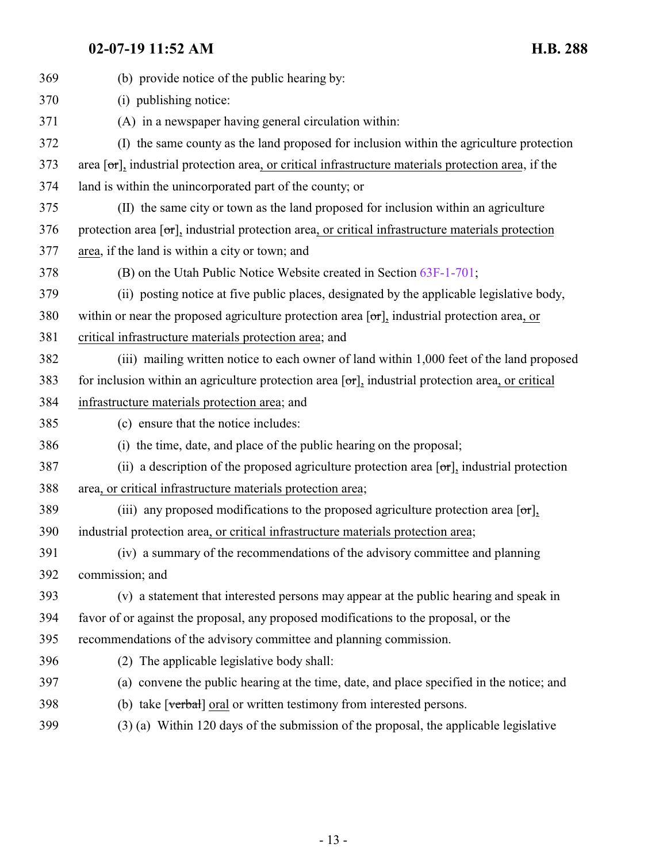| 369 | (b) provide notice of the public hearing by:                                                                    |
|-----|-----------------------------------------------------------------------------------------------------------------|
| 370 | (i) publishing notice:                                                                                          |
| 371 | (A) in a newspaper having general circulation within:                                                           |
| 372 | (I) the same county as the land proposed for inclusion within the agriculture protection                        |
| 373 | area $[\sigma\tau]$ , industrial protection area, or critical infrastructure materials protection area, if the  |
| 374 | land is within the unincorporated part of the county; or                                                        |
| 375 | (II) the same city or town as the land proposed for inclusion within an agriculture                             |
| 376 | protection area $[\sigma_{\tau}]$ , industrial protection area, or critical infrastructure materials protection |
| 377 | area, if the land is within a city or town; and                                                                 |
| 378 | (B) on the Utah Public Notice Website created in Section 63F-1-701;                                             |
| 379 | (ii) posting notice at five public places, designated by the applicable legislative body,                       |
| 380 | within or near the proposed agriculture protection area $[\sigma r]_2$ industrial protection area, or           |
| 381 | critical infrastructure materials protection area; and                                                          |
| 382 | (iii) mailing written notice to each owner of land within 1,000 feet of the land proposed                       |
| 383 | for inclusion within an agriculture protection area $[\sigma r]_2$ industrial protection area, or critical      |
| 384 | infrastructure materials protection area; and                                                                   |
| 385 | (c) ensure that the notice includes:                                                                            |
| 386 | (i) the time, date, and place of the public hearing on the proposal;                                            |
| 387 | (ii) a description of the proposed agriculture protection area $[\sigma_{\text{L}}]$ industrial protection      |
| 388 | area, or critical infrastructure materials protection area;                                                     |
| 389 | (iii) any proposed modifications to the proposed agriculture protection area $[\sigma \tau]$ ,                  |
| 390 | industrial protection area, or critical infrastructure materials protection area;                               |
| 391 | (iv) a summary of the recommendations of the advisory committee and planning                                    |
| 392 | commission; and                                                                                                 |
| 393 | (v) a statement that interested persons may appear at the public hearing and speak in                           |
| 394 | favor of or against the proposal, any proposed modifications to the proposal, or the                            |
| 395 | recommendations of the advisory committee and planning commission.                                              |
| 396 | (2) The applicable legislative body shall:                                                                      |
| 397 | (a) convene the public hearing at the time, date, and place specified in the notice; and                        |
| 398 | (b) take [verbal] oral or written testimony from interested persons.                                            |
| 399 | (3) (a) Within 120 days of the submission of the proposal, the applicable legislative                           |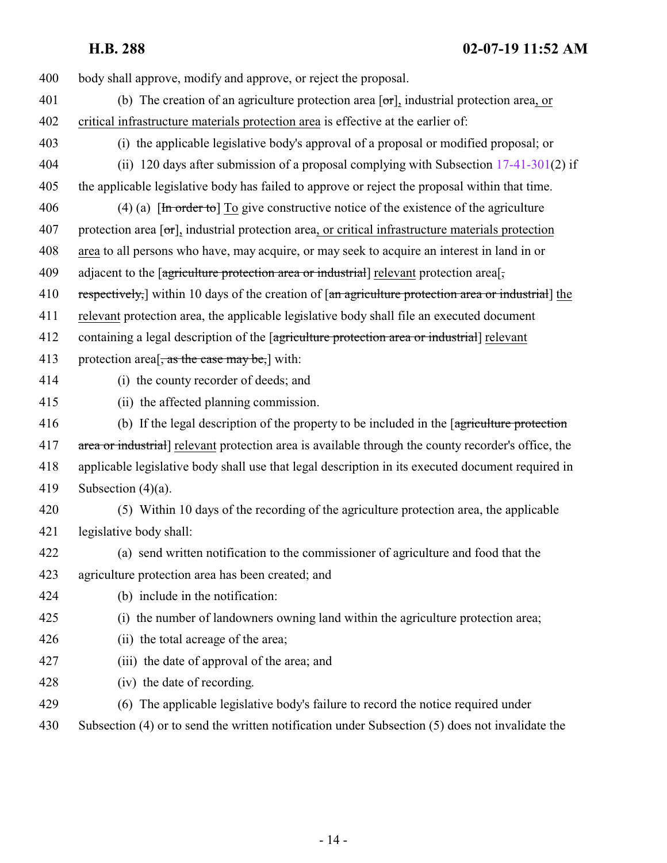- body shall approve, modify and approve, or reject the proposal.
- 401 (b) The creation of an agriculture protection area  $\sigma$ , industrial protection area, or critical infrastructure materials protection area is effective at the earlier of:
- (i) the applicable legislative body's approval of a proposal or modified proposal; or
- (ii) 120 days after submission of a proposal complying with Subsection [17-41-301](#page-8-0)(2) if the applicable legislative body has failed to approve or reject the proposal within that time.
- 406 (4) (a)  $[\text{In order to}]$  To give constructive notice of the existence of the agriculture 407 protection area  $\sigma$ , industrial protection area, or critical infrastructure materials protection area to all persons who have, may acquire, or may seek to acquire an interest in land in or 409 adjacent to the [agriculture protection area or industrial] relevant protection area[,
- 410 respectively, within 10 days of the creation of  $\left[\right]$  and agriculture protection area or industrial the
- relevant protection area, the applicable legislative body shall file an executed document
- 412 containing a legal description of the *[agriculture protection area or industrial]* relevant
- 413 protection area<sup>[</sup>, as the case may be,] with:
- 
- (i) the county recorder of deeds; and
- (ii) the affected planning commission.
- 416 (b) If the legal description of the property to be included in the [agriculture protection 417 area or industrial relevant protection area is available through the county recorder's office, the applicable legislative body shall use that legal description in its executed document required in Subsection (4)(a).
- 
- (5) Within 10 days of the recording of the agriculture protection area, the applicable legislative body shall:
- (a) send written notification to the commissioner of agriculture and food that the agriculture protection area has been created; and
- (b) include in the notification:
- (i) the number of landowners owning land within the agriculture protection area;
- (ii) the total acreage of the area;
- (iii) the date of approval of the area; and
- (iv) the date of recording.
- (6) The applicable legislative body's failure to record the notice required under
- Subsection (4) or to send the written notification under Subsection (5) does not invalidate the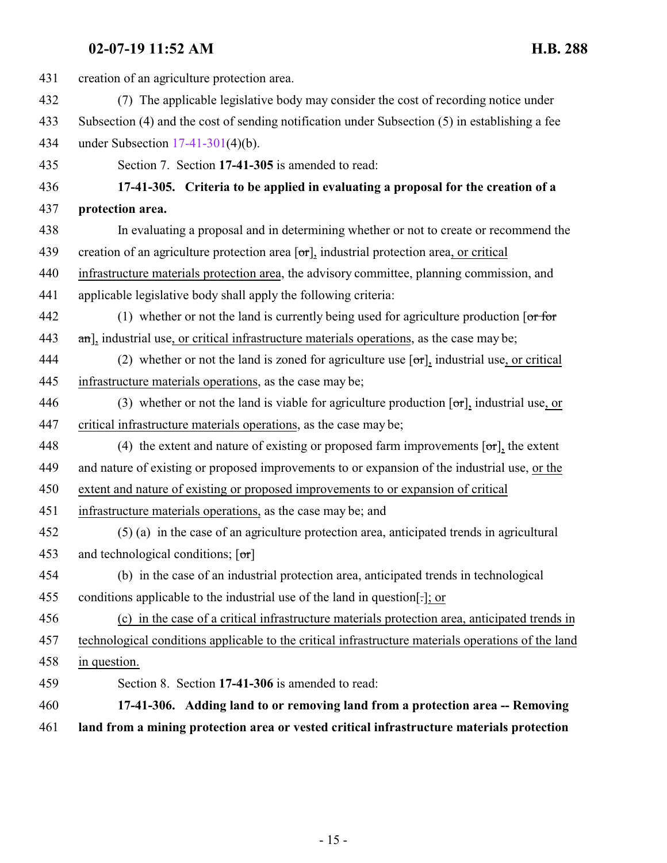<span id="page-14-1"></span><span id="page-14-0"></span>

| 431 | creation of an agriculture protection area.                                                         |
|-----|-----------------------------------------------------------------------------------------------------|
| 432 | (7) The applicable legislative body may consider the cost of recording notice under                 |
| 433 | Subsection (4) and the cost of sending notification under Subsection (5) in establishing a fee      |
| 434 | under Subsection $17-41-301(4)(b)$ .                                                                |
| 435 | Section 7. Section 17-41-305 is amended to read:                                                    |
| 436 | 17-41-305. Criteria to be applied in evaluating a proposal for the creation of a                    |
| 437 | protection area.                                                                                    |
| 438 | In evaluating a proposal and in determining whether or not to create or recommend the               |
| 439 | creation of an agriculture protection area $[\sigma r]$ , industrial protection area, or critical   |
| 440 | infrastructure materials protection area, the advisory committee, planning commission, and          |
| 441 | applicable legislative body shall apply the following criteria:                                     |
| 442 | (1) whether or not the land is currently being used for agriculture production $[or for$            |
| 443 | $\pi$ ], industrial use, or critical infrastructure materials operations, as the case may be;       |
| 444 | (2) whether or not the land is zoned for agriculture use $[\sigma r]$ , industrial use, or critical |
| 445 | infrastructure materials operations, as the case may be;                                            |
| 446 | (3) whether or not the land is viable for agriculture production $[\sigma r]_2$ industrial use, or  |
| 447 | critical infrastructure materials operations, as the case may be;                                   |
| 448 | (4) the extent and nature of existing or proposed farm improvements $[\sigma r]_1$ , the extent     |
| 449 | and nature of existing or proposed improvements to or expansion of the industrial use, or the       |
| 450 | extent and nature of existing or proposed improvements to or expansion of critical                  |
| 451 | infrastructure materials operations, as the case may be; and                                        |
| 452 | (5) (a) in the case of an agriculture protection area, anticipated trends in agricultural           |
| 453 | and technological conditions; $[\sigma r]$                                                          |
| 454 | (b) in the case of an industrial protection area, anticipated trends in technological               |
| 455 | conditions applicable to the industrial use of the land in question[.]; or                          |
| 456 | (c) in the case of a critical infrastructure materials protection area, anticipated trends in       |
| 457 | technological conditions applicable to the critical infrastructure materials operations of the land |
| 458 | in question.                                                                                        |
| 459 | Section 8. Section 17-41-306 is amended to read:                                                    |
| 460 | 17-41-306. Adding land to or removing land from a protection area -- Removing                       |
| 461 | land from a mining protection area or vested critical infrastructure materials protection           |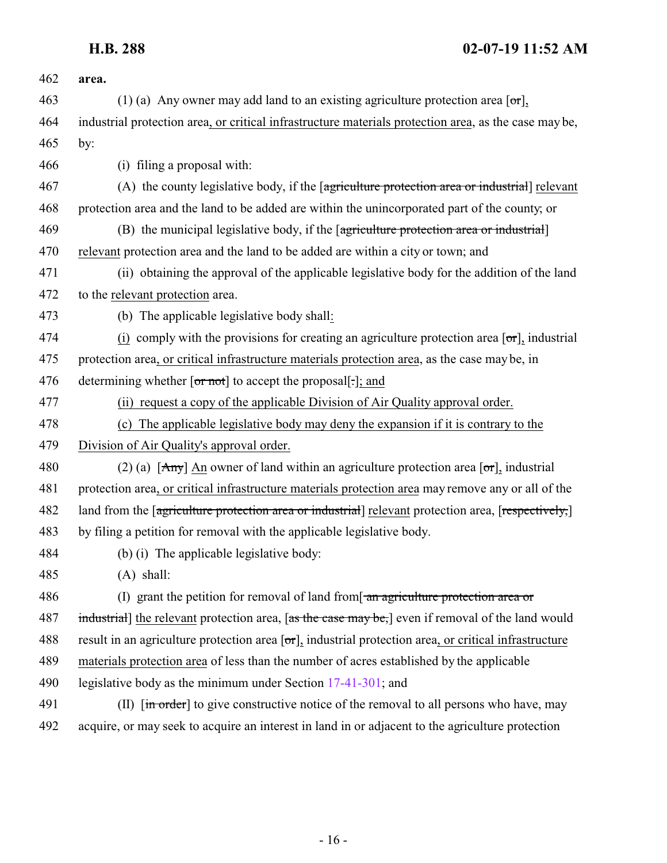| 462 | area.                                                                                                                               |
|-----|-------------------------------------------------------------------------------------------------------------------------------------|
| 463 | (1) (a) Any owner may add land to an existing agriculture protection area $\lceil \text{or} \rceil$ ,                               |
| 464 | industrial protection area, or critical infrastructure materials protection area, as the case may be,                               |
| 465 | by:                                                                                                                                 |
| 466 | (i) filing a proposal with:                                                                                                         |
| 467 | (A) the county legislative body, if the [agriculture protection area or industrial] relevant                                        |
| 468 | protection area and the land to be added are within the unincorporated part of the county; or                                       |
| 469 | (B) the municipal legislative body, if the [agriculture protection area or industrial]                                              |
| 470 | relevant protection area and the land to be added are within a city or town; and                                                    |
| 471 | (ii) obtaining the approval of the applicable legislative body for the addition of the land                                         |
| 472 | to the relevant protection area.                                                                                                    |
| 473 | (b) The applicable legislative body shall:                                                                                          |
| 474 | (i) comply with the provisions for creating an agriculture protection area $[\sigma r]$ , industrial                                |
| 475 | protection area, or critical infrastructure materials protection area, as the case may be, in                                       |
| 476 | determining whether [or not] to accept the proposal[-]; and                                                                         |
| 477 | (ii) request a copy of the applicable Division of Air Quality approval order.                                                       |
| 478 | (c) The applicable legislative body may deny the expansion if it is contrary to the                                                 |
| 479 | Division of Air Quality's approval order.                                                                                           |
| 480 | (2) (a) $[Any]$ An owner of land within an agriculture protection area $[or]$ , industrial                                          |
| 481 | protection area, or critical infrastructure materials protection area may remove any or all of the                                  |
| 482 | land from the [agriculture protection area or industrial] relevant protection area, [respectively,]                                 |
| 483 | by filing a petition for removal with the applicable legislative body.                                                              |
| 484 | (b) (i) The applicable legislative body:                                                                                            |
| 485 | $(A)$ shall:                                                                                                                        |
| 486 | (I) grant the petition for removal of land from $\frac{1}{2}$ and $\frac{1}{2}$ are protection area or                              |
| 487 | industrial] the relevant protection area, [as the case may be,] even if removal of the land would                                   |
| 488 | result in an agriculture protection area [or], industrial protection area, or critical infrastructure                               |
| 489 | materials protection area of less than the number of acres established by the applicable                                            |
| 490 | legislative body as the minimum under Section 17-41-301; and                                                                        |
| 491 | (II) $\left[\frac{\text{in order}}{\text{in order}}\right]$ to give constructive notice of the removal to all persons who have, may |
| 492 | acquire, or may seek to acquire an interest in land in or adjacent to the agriculture protection                                    |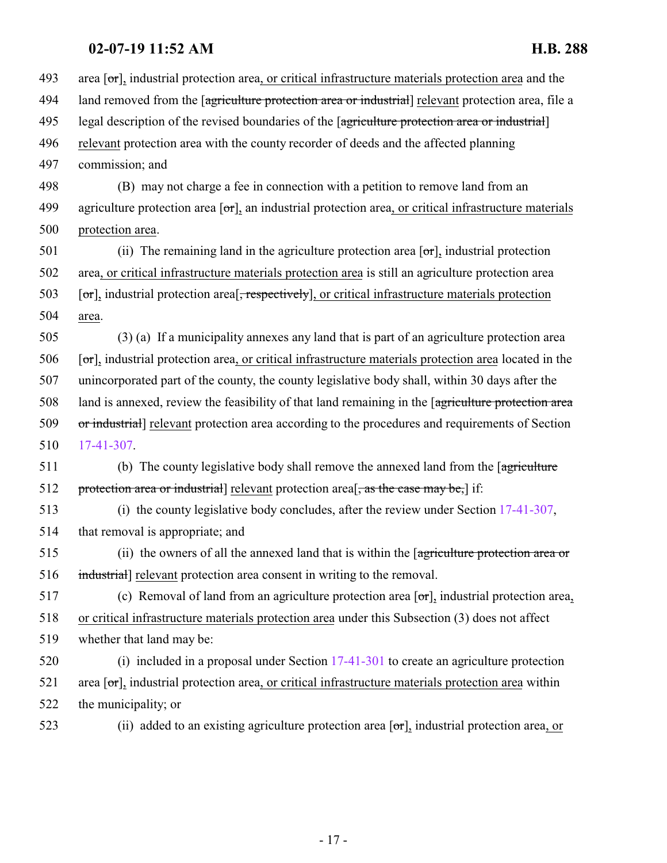| 493 | area $\lceil \sigma r \rceil$ , industrial protection area, or critical infrastructure materials protection area and the         |
|-----|----------------------------------------------------------------------------------------------------------------------------------|
| 494 | land removed from the [agriculture protection area or industrial] relevant protection area, file a                               |
| 495 | legal description of the revised boundaries of the [agriculture protection area or industrial]                                   |
| 496 | relevant protection area with the county recorder of deeds and the affected planning                                             |
| 497 | commission; and                                                                                                                  |
| 498 | (B) may not charge a fee in connection with a petition to remove land from an                                                    |
| 499 | agriculture protection area $[\sigma r]$ , an industrial protection area, or critical infrastructure materials                   |
| 500 | protection area.                                                                                                                 |
| 501 | (ii) The remaining land in the agriculture protection area $[\sigma \tau]$ , industrial protection                               |
| 502 | area, or critical infrastructure materials protection area is still an agriculture protection area                               |
| 503 | $[\sigma_{\text{r}}]$ , industrial protection area <sup>[</sup> , respectively], or critical infrastructure materials protection |
| 504 | area.                                                                                                                            |
| 505 | (3) (a) If a municipality annexes any land that is part of an agriculture protection area                                        |
| 506 | $[\sigma_{\tau}]$ , industrial protection area, or critical infrastructure materials protection area located in the              |
| 507 | unincorporated part of the county, the county legislative body shall, within 30 days after the                                   |
| 508 | land is annexed, review the feasibility of that land remaining in the [agriculture protection area                               |
| 509 | or industrial] relevant protection area according to the procedures and requirements of Section                                  |
| 510 | 17-41-307.                                                                                                                       |
| 511 | (b) The county legislative body shall remove the annexed land from the [agriculture                                              |
| 512 | protection area or industrial] relevant protection area[, as the case may be,] if:                                               |
| 513 | (i) the county legislative body concludes, after the review under Section $17-41-307$ ,                                          |
| 514 | that removal is appropriate; and                                                                                                 |
| 515 | (ii) the owners of all the annexed land that is within the [agriculture protection area or                                       |
| 516 | industrial] relevant protection area consent in writing to the removal.                                                          |
| 517 | (c) Removal of land from an agriculture protection area $[\sigma r]_2$ industrial protection area,                               |
| 518 | or critical infrastructure materials protection area under this Subsection (3) does not affect                                   |
| 519 | whether that land may be:                                                                                                        |
| 520 | (i) included in a proposal under Section $17-41-301$ to create an agriculture protection                                         |
| 521 | area $[\sigma\tau]$ , industrial protection area, or critical infrastructure materials protection area within                    |
| 522 | the municipality; or                                                                                                             |
| 523 | (ii) added to an existing agriculture protection area $[\sigma r]$ , industrial protection area, or                              |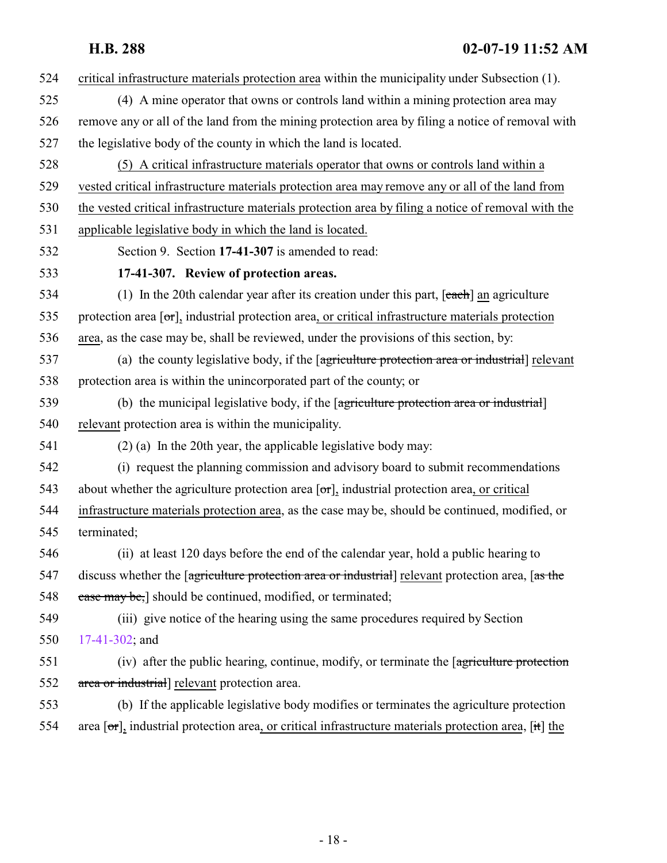<span id="page-17-0"></span>

| 524 | critical infrastructure materials protection area within the municipality under Subsection (1).                           |
|-----|---------------------------------------------------------------------------------------------------------------------------|
| 525 | (4) A mine operator that owns or controls land within a mining protection area may                                        |
| 526 | remove any or all of the land from the mining protection area by filing a notice of removal with                          |
| 527 | the legislative body of the county in which the land is located.                                                          |
| 528 | (5) A critical infrastructure materials operator that owns or controls land within a                                      |
| 529 | vested critical infrastructure materials protection area may remove any or all of the land from                           |
| 530 | the vested critical infrastructure materials protection area by filing a notice of removal with the                       |
| 531 | applicable legislative body in which the land is located.                                                                 |
| 532 | Section 9. Section 17-41-307 is amended to read:                                                                          |
| 533 | 17-41-307. Review of protection areas.                                                                                    |
| 534 | (1) In the 20th calendar year after its creation under this part, $[each]$ an agriculture                                 |
| 535 | protection area $[\sigma\tau]$ , industrial protection area, or critical infrastructure materials protection              |
| 536 | area, as the case may be, shall be reviewed, under the provisions of this section, by:                                    |
| 537 | (a) the county legislative body, if the [agriculture protection area or industrial] relevant                              |
| 538 | protection area is within the unincorporated part of the county; or                                                       |
| 539 | (b) the municipal legislative body, if the [agriculture protection area or industrial]                                    |
| 540 | relevant protection area is within the municipality.                                                                      |
| 541 | $(2)$ (a) In the 20th year, the applicable legislative body may:                                                          |
| 542 | (i) request the planning commission and advisory board to submit recommendations                                          |
| 543 | about whether the agriculture protection area $[\sigma r]$ , industrial protection area, or critical                      |
| 544 | infrastructure materials protection area, as the case may be, should be continued, modified, or                           |
| 545 | terminated;                                                                                                               |
| 546 | (ii) at least 120 days before the end of the calendar year, hold a public hearing to                                      |
| 547 | discuss whether the [agriculture protection area or industrial] relevant protection area, [as the                         |
| 548 | ease may be,] should be continued, modified, or terminated;                                                               |
| 549 | (iii) give notice of the hearing using the same procedures required by Section                                            |
| 550 | 17-41-302; and                                                                                                            |
| 551 | (iv) after the public hearing, continue, modify, or terminate the [agriculture protection                                 |
| 552 | area or industrial] relevant protection area.                                                                             |
| 553 | (b) If the applicable legislative body modifies or terminates the agriculture protection                                  |
| 554 | area $[\sigma\tau]$ , industrial protection area, or critical infrastructure materials protection area, $[\dot{\tau}$ the |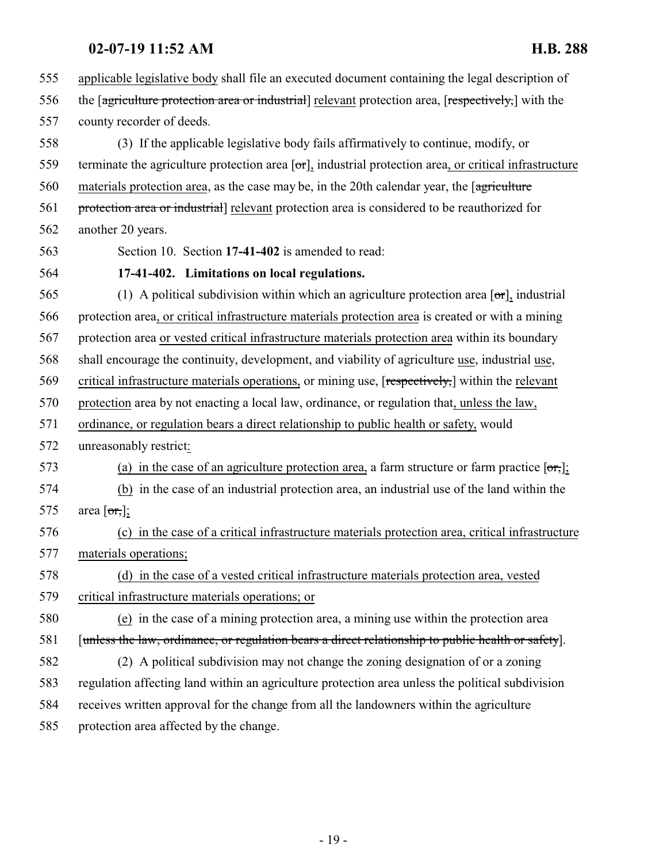<span id="page-18-0"></span> applicable legislative body shall file an executed document containing the legal description of 556 the [agriculture protection area or industrial] relevant protection area, [respectively,] with the county recorder of deeds. (3) If the applicable legislative body fails affirmatively to continue, modify, or 559 terminate the agriculture protection area  $\sigma$ , industrial protection area, or critical infrastructure materials protection area, as the case may be, in the 20th calendar year, the [agriculture 561 protection area or industrial relevant protection area is considered to be reauthorized for another 20 years. Section 10. Section **17-41-402** is amended to read: **17-41-402. Limitations on local regulations.** 565 (1) A political subdivision within which an agriculture protection area  $\sigma$ , industrial protection area, or critical infrastructure materials protection area is created or with a mining protection area or vested critical infrastructure materials protection area within its boundary shall encourage the continuity, development, and viability of agriculture use, industrial use, 569 critical infrastructure materials operations, or mining use, [respectively,] within the relevant protection area by not enacting a local law, ordinance, or regulation that, unless the law, ordinance, or regulation bears a direct relationship to public health or safety, would unreasonably restrict: 573 (a) in the case of an agriculture protection area, a farm structure or farm practice  $[**or**,]$ ; (b) in the case of an industrial protection area, an industrial use of the land within the 575 area  $\lceil \text{or,} \rceil$ ; (c) in the case of a critical infrastructure materials protection area, critical infrastructure materials operations; (d) in the case of a vested critical infrastructure materials protection area, vested critical infrastructure materials operations; or (e) in the case of a mining protection area, a mining use within the protection area [unless the law, ordinance, or regulation bears a direct relationship to public health or safety]. (2) A political subdivision may not change the zoning designation of or a zoning regulation affecting land within an agriculture protection area unless the political subdivision receives written approval for the change from all the landowners within the agriculture protection area affected by the change.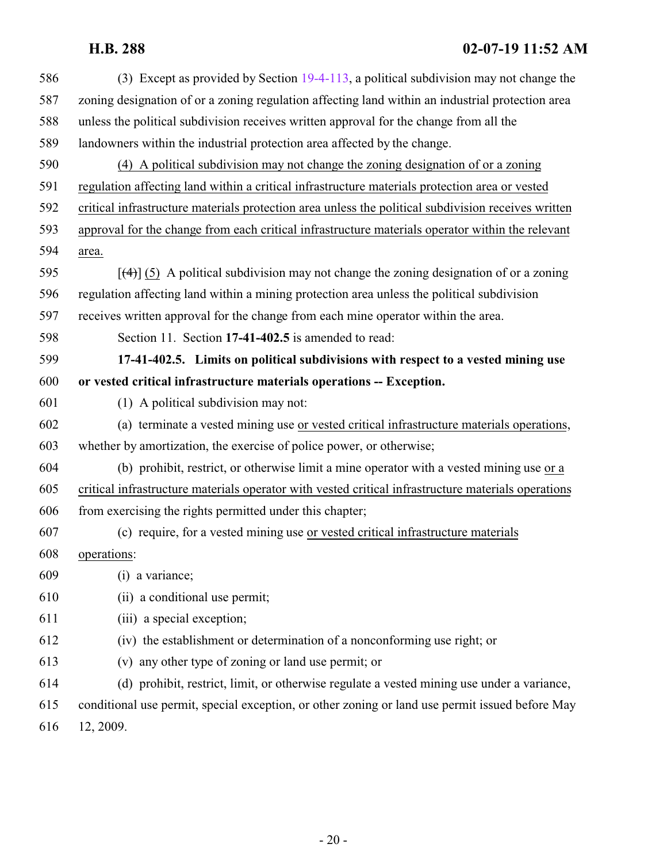<span id="page-19-0"></span>

| 586 | (3) Except as provided by Section 19-4-113, a political subdivision may not change the              |
|-----|-----------------------------------------------------------------------------------------------------|
| 587 | zoning designation of or a zoning regulation affecting land within an industrial protection area    |
| 588 | unless the political subdivision receives written approval for the change from all the              |
| 589 | landowners within the industrial protection area affected by the change.                            |
| 590 | (4) A political subdivision may not change the zoning designation of or a zoning                    |
| 591 | regulation affecting land within a critical infrastructure materials protection area or vested      |
| 592 | critical infrastructure materials protection area unless the political subdivision receives written |
| 593 | approval for the change from each critical infrastructure materials operator within the relevant    |
| 594 | area.                                                                                               |
| 595 | $[\frac{4}{3}]$ (5) A political subdivision may not change the zoning designation of or a zoning    |
| 596 | regulation affecting land within a mining protection area unless the political subdivision          |
| 597 | receives written approval for the change from each mine operator within the area.                   |
| 598 | Section 11. Section 17-41-402.5 is amended to read:                                                 |
| 599 | 17-41-402.5. Limits on political subdivisions with respect to a vested mining use                   |
| 600 | or vested critical infrastructure materials operations -- Exception.                                |
| 601 | (1) A political subdivision may not:                                                                |
| 602 | (a) terminate a vested mining use or vested critical infrastructure materials operations,           |
| 603 | whether by amortization, the exercise of police power, or otherwise;                                |
| 604 | (b) prohibit, restrict, or otherwise limit a mine operator with a vested mining use or a            |
| 605 | critical infrastructure materials operator with vested critical infrastructure materials operations |
| 606 | from exercising the rights permitted under this chapter;                                            |
| 607 | (c) require, for a vested mining use or vested critical infrastructure materials                    |
| 608 | operations:                                                                                         |
| 609 | (i) a variance;                                                                                     |
| 610 | (ii) a conditional use permit;                                                                      |
| 611 | (iii) a special exception;                                                                          |
| 612 | (iv) the establishment or determination of a nonconforming use right; or                            |
| 613 | (v) any other type of zoning or land use permit; or                                                 |
| 614 | (d) prohibit, restrict, limit, or otherwise regulate a vested mining use under a variance,          |
| 615 | conditional use permit, special exception, or other zoning or land use permit issued before May     |
| 616 | 12, 2009.                                                                                           |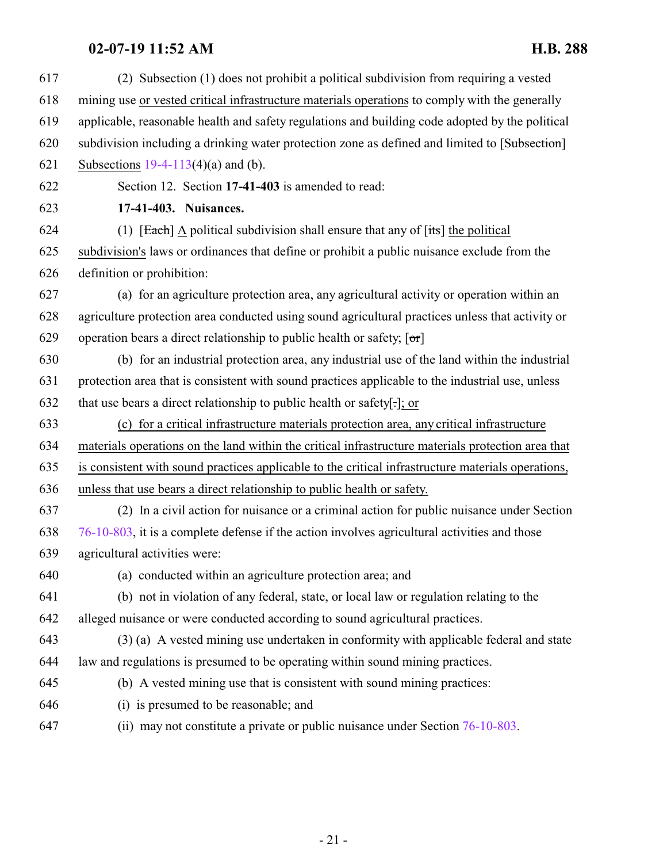<span id="page-20-0"></span>

| 617 | (2) Subsection (1) does not prohibit a political subdivision from requiring a vested               |
|-----|----------------------------------------------------------------------------------------------------|
| 618 | mining use or vested critical infrastructure materials operations to comply with the generally     |
| 619 | applicable, reasonable health and safety regulations and building code adopted by the political    |
| 620 | subdivision including a drinking water protection zone as defined and limited to [Subsection]      |
| 621 | Subsections $19-4-113(4)(a)$ and (b).                                                              |
| 622 | Section 12. Section 17-41-403 is amended to read:                                                  |
| 623 | 17-41-403. Nuisances.                                                                              |
| 624 | (1) $[Each]$ A political subdivision shall ensure that any of $[its]$ the political                |
| 625 | subdivision's laws or ordinances that define or prohibit a public nuisance exclude from the        |
| 626 | definition or prohibition:                                                                         |
| 627 | (a) for an agriculture protection area, any agricultural activity or operation within an           |
| 628 | agriculture protection area conducted using sound agricultural practices unless that activity or   |
| 629 | operation bears a direct relationship to public health or safety; $[\sigma r]$                     |
| 630 | (b) for an industrial protection area, any industrial use of the land within the industrial        |
| 631 | protection area that is consistent with sound practices applicable to the industrial use, unless   |
| 632 | that use bears a direct relationship to public health or safety[-]; or                             |
| 633 | (c) for a critical infrastructure materials protection area, any critical infrastructure           |
| 634 | materials operations on the land within the critical infrastructure materials protection area that |
| 635 | is consistent with sound practices applicable to the critical infrastructure materials operations, |
| 636 | unless that use bears a direct relationship to public health or safety.                            |
| 637 | (2) In a civil action for nuisance or a criminal action for public nuisance under Section          |
| 638 | 76-10-803, it is a complete defense if the action involves agricultural activities and those       |
| 639 | agricultural activities were:                                                                      |
| 640 | (a) conducted within an agriculture protection area; and                                           |
| 641 | (b) not in violation of any federal, state, or local law or regulation relating to the             |
| 642 | alleged nuisance or were conducted according to sound agricultural practices.                      |
| 643 | (3) (a) A vested mining use undertaken in conformity with applicable federal and state             |
| 644 | law and regulations is presumed to be operating within sound mining practices.                     |
| 645 | (b) A vested mining use that is consistent with sound mining practices:                            |
| 646 | (i) is presumed to be reasonable; and                                                              |
| 647 | (ii) may not constitute a private or public nuisance under Section $76-10-803$ .                   |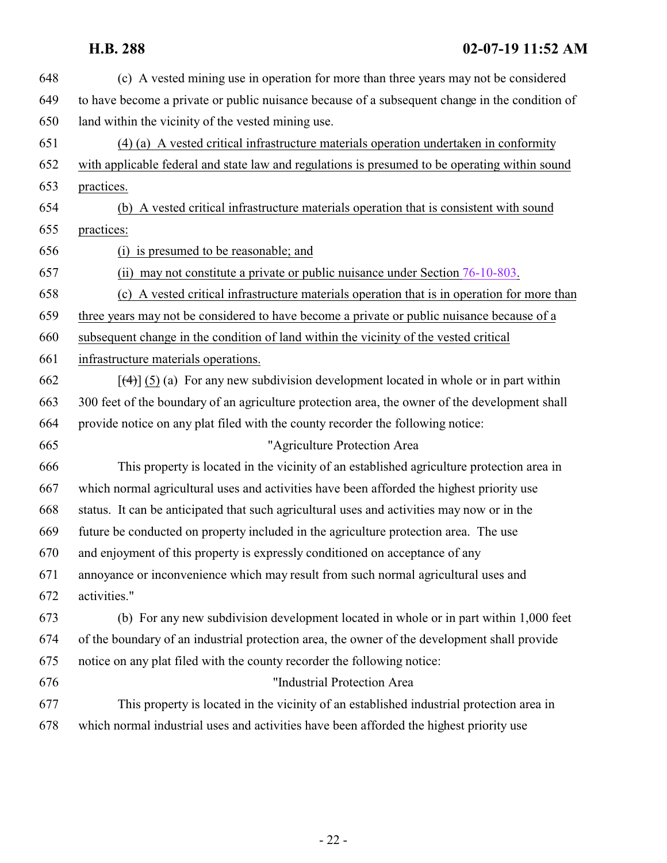| 648 | (c) A vested mining use in operation for more than three years may not be considered           |
|-----|------------------------------------------------------------------------------------------------|
| 649 | to have become a private or public nuisance because of a subsequent change in the condition of |
| 650 | land within the vicinity of the vested mining use.                                             |
| 651 | (4) (a) A vested critical infrastructure materials operation undertaken in conformity          |
| 652 | with applicable federal and state law and regulations is presumed to be operating within sound |
| 653 | practices.                                                                                     |
| 654 | (b) A vested critical infrastructure materials operation that is consistent with sound         |
| 655 | practices:                                                                                     |
| 656 | (i) is presumed to be reasonable; and                                                          |
| 657 | (ii) may not constitute a private or public nuisance under Section $76-10-803$ .               |
| 658 | (c) A vested critical infrastructure materials operation that is in operation for more than    |
| 659 | three years may not be considered to have become a private or public nuisance because of a     |
| 660 | subsequent change in the condition of land within the vicinity of the vested critical          |
| 661 | infrastructure materials operations.                                                           |
| 662 | $[\frac{4}{3}]$ (5) (a) For any new subdivision development located in whole or in part within |
| 663 | 300 feet of the boundary of an agriculture protection area, the owner of the development shall |
| 664 | provide notice on any plat filed with the county recorder the following notice:                |
| 665 | "Agriculture Protection Area                                                                   |
| 666 | This property is located in the vicinity of an established agriculture protection area in      |
| 667 | which normal agricultural uses and activities have been afforded the highest priority use      |
| 668 | status. It can be anticipated that such agricultural uses and activities may now or in the     |
| 669 | future be conducted on property included in the agriculture protection area. The use           |
| 670 | and enjoyment of this property is expressly conditioned on acceptance of any                   |
| 671 | annoyance or inconvenience which may result from such normal agricultural uses and             |
| 672 | activities."                                                                                   |
| 673 | (b) For any new subdivision development located in whole or in part within 1,000 feet          |
| 674 | of the boundary of an industrial protection area, the owner of the development shall provide   |
| 675 | notice on any plat filed with the county recorder the following notice:                        |
| 676 | "Industrial Protection Area                                                                    |
| 677 | This property is located in the vicinity of an established industrial protection area in       |
| 678 | which normal industrial uses and activities have been afforded the highest priority use        |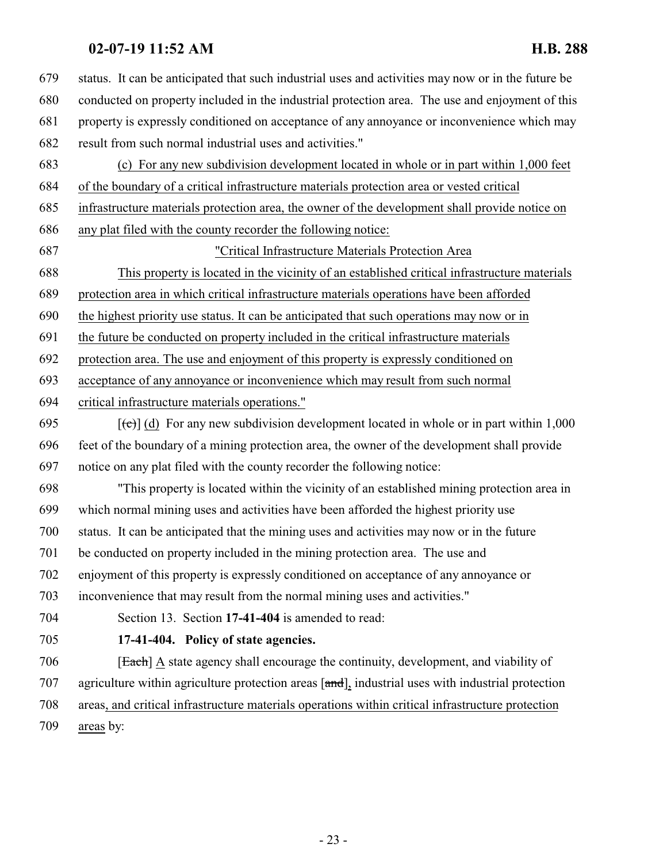<span id="page-22-0"></span>

| 679 | status. It can be anticipated that such industrial uses and activities may now or in the future be |
|-----|----------------------------------------------------------------------------------------------------|
| 680 | conducted on property included in the industrial protection area. The use and enjoyment of this    |
| 681 | property is expressly conditioned on acceptance of any annoyance or inconvenience which may        |
| 682 | result from such normal industrial uses and activities."                                           |
| 683 | (c) For any new subdivision development located in whole or in part within 1,000 feet              |
| 684 | of the boundary of a critical infrastructure materials protection area or vested critical          |
| 685 | infrastructure materials protection area, the owner of the development shall provide notice on     |
| 686 | any plat filed with the county recorder the following notice:                                      |
| 687 | "Critical Infrastructure Materials Protection Area                                                 |
| 688 | This property is located in the vicinity of an established critical infrastructure materials       |
| 689 | protection area in which critical infrastructure materials operations have been afforded           |
| 690 | the highest priority use status. It can be anticipated that such operations may now or in          |
| 691 | the future be conducted on property included in the critical infrastructure materials              |
| 692 | protection area. The use and enjoyment of this property is expressly conditioned on                |
| 693 | acceptance of any annoyance or inconvenience which may result from such normal                     |
| 694 | critical infrastructure materials operations."                                                     |
| 695 | $[\text{(-c)}]$ (d) For any new subdivision development located in whole or in part within 1,000   |
| 696 | feet of the boundary of a mining protection area, the owner of the development shall provide       |
| 697 | notice on any plat filed with the county recorder the following notice:                            |
| 698 | "This property is located within the vicinity of an established mining protection area in          |
| 699 | which normal mining uses and activities have been afforded the highest priority use                |
| 700 | status. It can be anticipated that the mining uses and activities may now or in the future         |
| 701 | be conducted on property included in the mining protection area. The use and                       |
| 702 | enjoyment of this property is expressly conditioned on acceptance of any annoyance or              |
| 703 | inconvenience that may result from the normal mining uses and activities."                         |
| 704 | Section 13. Section 17-41-404 is amended to read:                                                  |
| 705 | 17-41-404. Policy of state agencies.                                                               |
| 706 | [Each] A state agency shall encourage the continuity, development, and viability of                |
| 707 | agriculture within agriculture protection areas [and], industrial uses with industrial protection  |
| 708 | areas, and critical infrastructure materials operations within critical infrastructure protection  |
| 709 | areas by:                                                                                          |
|     |                                                                                                    |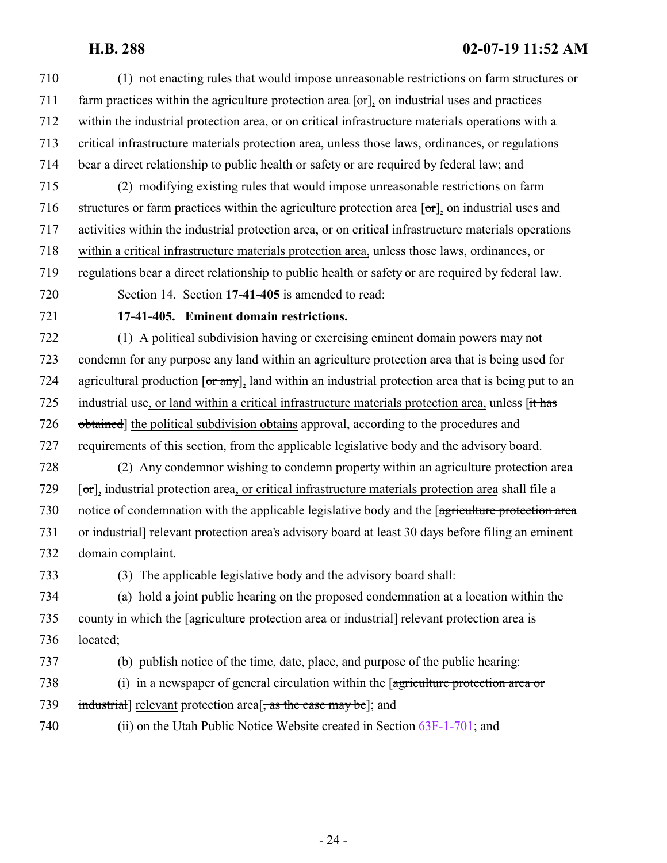<span id="page-23-0"></span> (1) not enacting rules that would impose unreasonable restrictions on farm structures or 711 farm practices within the agriculture protection area  $\sigma$ , on industrial uses and practices within the industrial protection area, or on critical infrastructure materials operations with a critical infrastructure materials protection area, unless those laws, ordinances, or regulations bear a direct relationship to public health or safety or are required by federal law; and (2) modifying existing rules that would impose unreasonable restrictions on farm structures or farm practices within the agriculture protection area [or], on industrial uses and activities within the industrial protection area, or on critical infrastructure materials operations within a critical infrastructure materials protection area, unless those laws, ordinances, or regulations bear a direct relationship to public health or safety or are required by federal law. Section 14. Section **17-41-405** is amended to read: **17-41-405. Eminent domain restrictions.** (1) A political subdivision having or exercising eminent domain powers may not condemn for any purpose any land within an agriculture protection area that is being used for 724 agricultural production  $\overline{or\ any}$ , land within an industrial protection area that is being put to an 725 industrial use, or land within a critical infrastructure materials protection area, unless [it has obtained] the political subdivision obtains approval, according to the procedures and requirements of this section, from the applicable legislative body and the advisory board. (2) Any condemnor wishing to condemn property within an agriculture protection area [ $\sigma$ ], industrial protection area, or critical infrastructure materials protection area shall file a notice of condemnation with the applicable legislative body and the [agriculture protection area or industrial] relevant protection area's advisory board at least 30 days before filing an eminent domain complaint. (3) The applicable legislative body and the advisory board shall: (a) hold a joint public hearing on the proposed condemnation at a location within the county in which the [agriculture protection area or industrial] relevant protection area is located; (b) publish notice of the time, date, place, and purpose of the public hearing: 738 (i) in a newspaper of general circulation within the [agriculture protection area or 739 industrial relevant protection area  $\frac{1}{2}$ , as the case may be]; and (ii) on the Utah Public Notice Website created in Section [63F-1-701](http://le.utah.gov/UtahCode/SectionLookup.jsp?section=63f-1-701&session=2019GS); and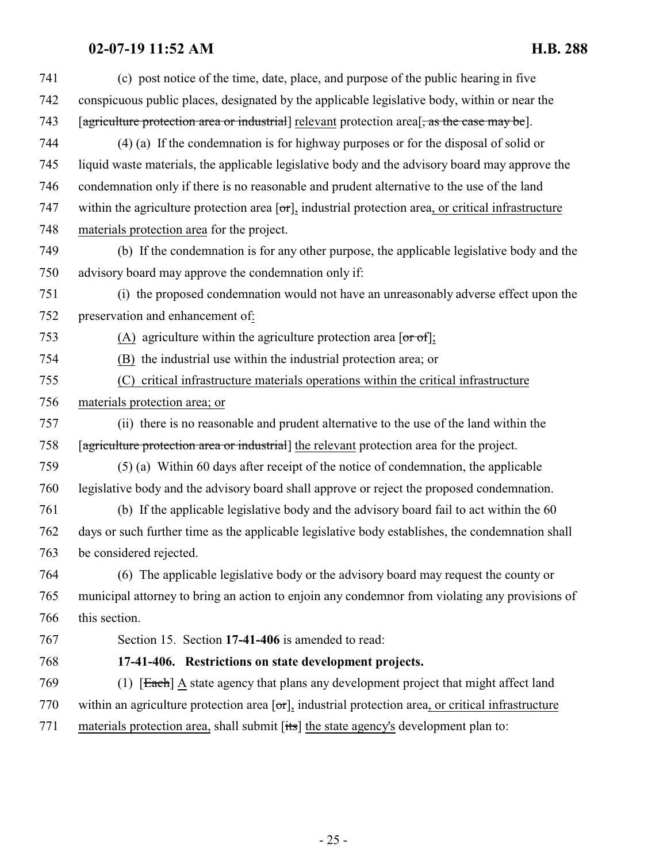<span id="page-24-0"></span>

| 741 | (c) post notice of the time, date, place, and purpose of the public hearing in five                                      |
|-----|--------------------------------------------------------------------------------------------------------------------------|
| 742 | conspicuous public places, designated by the applicable legislative body, within or near the                             |
| 743 | [agriculture protection area or industrial] relevant protection area <sup>[</sup> , as the case may be].                 |
| 744 | $(4)$ (a) If the condemnation is for highway purposes or for the disposal of solid or                                    |
| 745 | liquid waste materials, the applicable legislative body and the advisory board may approve the                           |
| 746 | condemnation only if there is no reasonable and prudent alternative to the use of the land                               |
| 747 | within the agriculture protection area $\lceil \sigma r \rceil$ , industrial protection area, or critical infrastructure |
| 748 | materials protection area for the project.                                                                               |
| 749 | (b) If the condemnation is for any other purpose, the applicable legislative body and the                                |
| 750 | advisory board may approve the condemnation only if:                                                                     |
| 751 | (i) the proposed condemnation would not have an unreasonably adverse effect upon the                                     |
| 752 | preservation and enhancement of:                                                                                         |
| 753 | (A) agriculture within the agriculture protection area $\lceil \text{or of} \rceil$ ;                                    |
| 754 | (B) the industrial use within the industrial protection area; or                                                         |
| 755 | critical infrastructure materials operations within the critical infrastructure<br>(C)                                   |
| 756 | materials protection area; or                                                                                            |
| 757 | (ii) there is no reasonable and prudent alternative to the use of the land within the                                    |
| 758 | [agriculture protection area or industrial] the relevant protection area for the project.                                |
| 759 | (5) (a) Within 60 days after receipt of the notice of condemnation, the applicable                                       |
| 760 | legislative body and the advisory board shall approve or reject the proposed condemnation.                               |
| 761 | (b) If the applicable legislative body and the advisory board fail to act within the 60                                  |
| 762 | days or such further time as the applicable legislative body establishes, the condemnation shall                         |
| 763 | be considered rejected.                                                                                                  |
| 764 | (6) The applicable legislative body or the advisory board may request the county or                                      |
| 765 | municipal attorney to bring an action to enjoin any condemnor from violating any provisions of                           |
| 766 | this section.                                                                                                            |
| 767 | Section 15. Section 17-41-406 is amended to read:                                                                        |
| 768 | 17-41-406. Restrictions on state development projects.                                                                   |
| 769 | (1) [Each] A state agency that plans any development project that might affect land                                      |
| 770 | within an agriculture protection area $\lceil \sigma \rceil$ , industrial protection area, or critical infrastructure    |
| 771 | materials protection area, shall submit [its] the state agency's development plan to:                                    |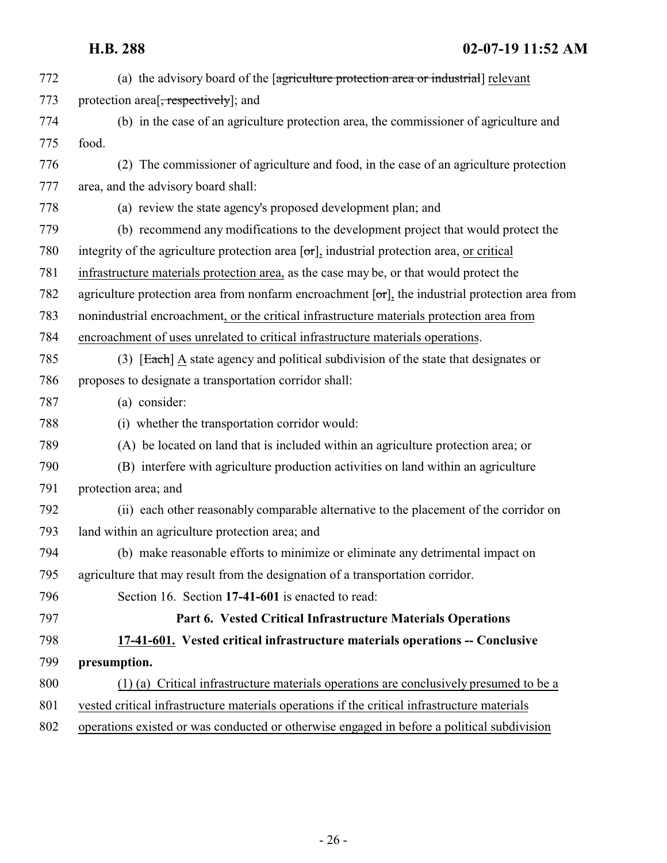<span id="page-25-0"></span>

| 772 | (a) the advisory board of the [agriculture protection area or industrial] relevant                       |
|-----|----------------------------------------------------------------------------------------------------------|
| 773 | protection area <sup>[, respectively]</sup> ; and                                                        |
| 774 | (b) in the case of an agriculture protection area, the commissioner of agriculture and                   |
| 775 | food.                                                                                                    |
| 776 | (2) The commissioner of agriculture and food, in the case of an agriculture protection                   |
| 777 | area, and the advisory board shall:                                                                      |
| 778 | (a) review the state agency's proposed development plan; and                                             |
| 779 | (b) recommend any modifications to the development project that would protect the                        |
| 780 | integrity of the agriculture protection area $[\sigma\tau]$ , industrial protection area, or critical    |
| 781 | infrastructure materials protection area, as the case may be, or that would protect the                  |
| 782 | agriculture protection area from nonfarm encroachment $[\sigma r]$ , the industrial protection area from |
| 783 | nonindustrial encroachment, or the critical infrastructure materials protection area from                |
| 784 | encroachment of uses unrelated to critical infrastructure materials operations.                          |
| 785 | (3) [Each] $\triangle$ state agency and political subdivision of the state that designates or            |
| 786 | proposes to designate a transportation corridor shall:                                                   |
| 787 | (a) consider:                                                                                            |
| 788 | (i) whether the transportation corridor would:                                                           |
| 789 | (A) be located on land that is included within an agriculture protection area; or                        |
| 790 | (B) interfere with agriculture production activities on land within an agriculture                       |
| 791 | protection area; and                                                                                     |
| 792 | (ii) each other reasonably comparable alternative to the placement of the corridor on                    |
| 793 | land within an agriculture protection area; and                                                          |
| 794 | (b) make reasonable efforts to minimize or eliminate any detrimental impact on                           |
| 795 | agriculture that may result from the designation of a transportation corridor.                           |
| 796 | Section 16. Section 17-41-601 is enacted to read:                                                        |
| 797 | Part 6. Vested Critical Infrastructure Materials Operations                                              |
| 798 | 17-41-601. Vested critical infrastructure materials operations -- Conclusive                             |
| 799 | presumption.                                                                                             |
| 800 | (1) (a) Critical infrastructure materials operations are conclusively presumed to be a                   |
| 801 | vested critical infrastructure materials operations if the critical infrastructure materials             |
| 802 | operations existed or was conducted or otherwise engaged in before a political subdivision               |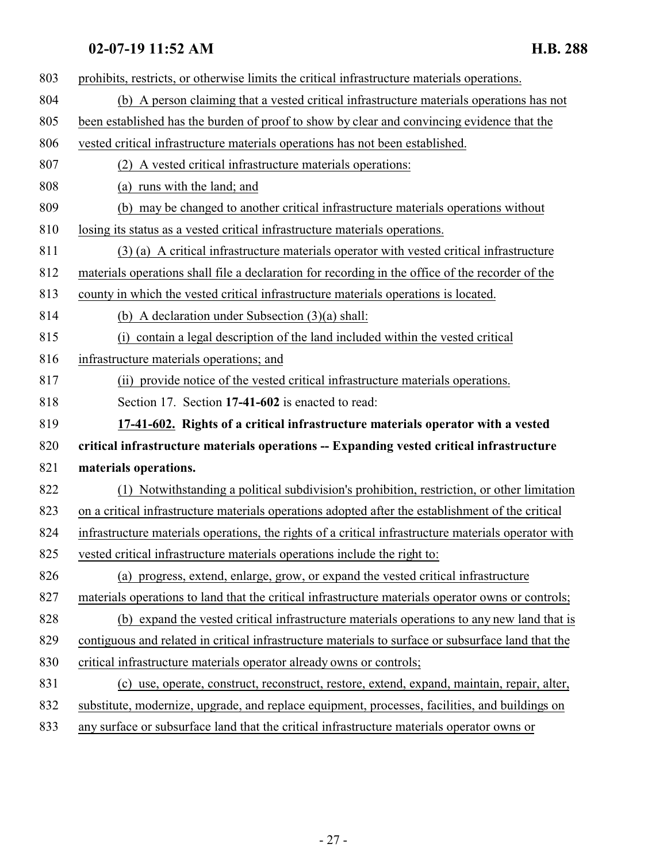<span id="page-26-0"></span>

| 803 | prohibits, restricts, or otherwise limits the critical infrastructure materials operations.          |
|-----|------------------------------------------------------------------------------------------------------|
| 804 | (b) A person claiming that a vested critical infrastructure materials operations has not             |
| 805 | been established has the burden of proof to show by clear and convincing evidence that the           |
| 806 | vested critical infrastructure materials operations has not been established.                        |
| 807 | (2) A vested critical infrastructure materials operations:                                           |
| 808 | (a) runs with the land; and                                                                          |
| 809 | (b) may be changed to another critical infrastructure materials operations without                   |
| 810 | losing its status as a vested critical infrastructure materials operations.                          |
| 811 | (3) (a) A critical infrastructure materials operator with vested critical infrastructure             |
| 812 | materials operations shall file a declaration for recording in the office of the recorder of the     |
| 813 | county in which the vested critical infrastructure materials operations is located.                  |
| 814 | (b) A declaration under Subsection $(3)(a)$ shall:                                                   |
| 815 | (i) contain a legal description of the land included within the vested critical                      |
| 816 | infrastructure materials operations; and                                                             |
| 817 | (ii) provide notice of the vested critical infrastructure materials operations.                      |
| 818 | Section 17. Section 17-41-602 is enacted to read:                                                    |
| 819 | 17-41-602. Rights of a critical infrastructure materials operator with a vested                      |
| 820 | critical infrastructure materials operations -- Expanding vested critical infrastructure             |
| 821 | materials operations.                                                                                |
| 822 | (1) Notwithstanding a political subdivision's prohibition, restriction, or other limitation          |
| 823 | on a critical infrastructure materials operations adopted after the establishment of the critical    |
| 824 | infrastructure materials operations, the rights of a critical infrastructure materials operator with |
| 825 | vested critical infrastructure materials operations include the right to:                            |
| 826 | (a) progress, extend, enlarge, grow, or expand the vested critical infrastructure                    |
| 827 | materials operations to land that the critical infrastructure materials operator owns or controls;   |
| 828 | (b) expand the vested critical infrastructure materials operations to any new land that is           |
| 829 | contiguous and related in critical infrastructure materials to surface or subsurface land that the   |
| 830 | critical infrastructure materials operator already owns or controls;                                 |
| 831 | (c) use, operate, construct, reconstruct, restore, extend, expand, maintain, repair, alter,          |
| 832 | substitute, modernize, upgrade, and replace equipment, processes, facilities, and buildings on       |
| 022 | these or subsymptose land that the quities infrastructure materials exactor sums                     |

any surface or subsurface land that the critical infrastructure materials operator owns or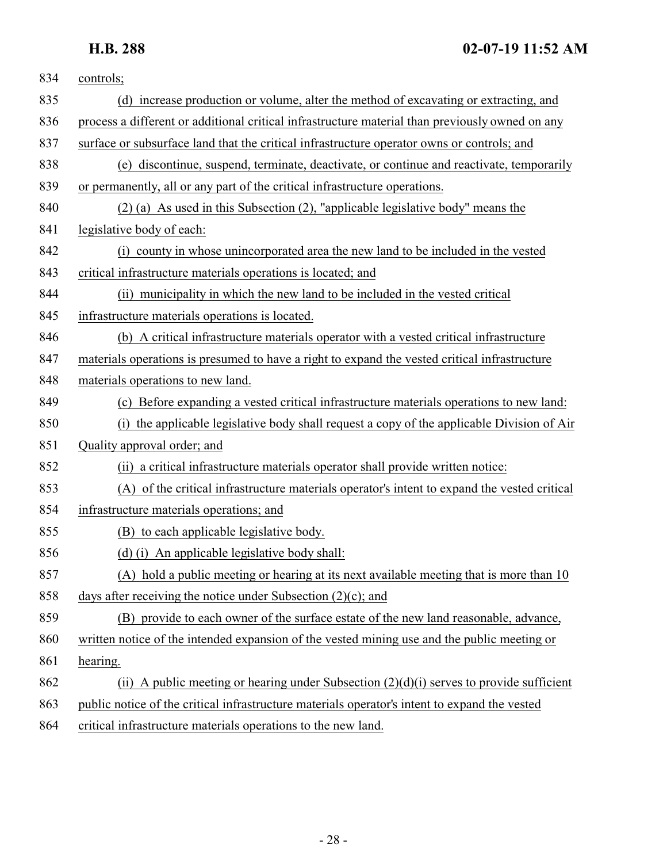| 834 | controls;                                                                                       |
|-----|-------------------------------------------------------------------------------------------------|
| 835 | (d) increase production or volume, alter the method of excavating or extracting, and            |
| 836 | process a different or additional critical infrastructure material than previously owned on any |
| 837 | surface or subsurface land that the critical infrastructure operator owns or controls; and      |
| 838 | (e) discontinue, suspend, terminate, deactivate, or continue and reactivate, temporarily        |
| 839 | or permanently, all or any part of the critical infrastructure operations.                      |
| 840 | $(2)$ (a) As used in this Subsection (2), "applicable legislative body" means the               |
| 841 | legislative body of each:                                                                       |
| 842 | (i) county in whose unincorporated area the new land to be included in the vested               |
| 843 | critical infrastructure materials operations is located; and                                    |
| 844 | (ii) municipality in which the new land to be included in the vested critical                   |
| 845 | infrastructure materials operations is located.                                                 |
| 846 | (b) A critical infrastructure materials operator with a vested critical infrastructure          |
| 847 | materials operations is presumed to have a right to expand the vested critical infrastructure   |
| 848 | materials operations to new land.                                                               |
| 849 | (c) Before expanding a vested critical infrastructure materials operations to new land:         |
| 850 | (i) the applicable legislative body shall request a copy of the applicable Division of Air      |
| 851 | Quality approval order; and                                                                     |
| 852 | (ii) a critical infrastructure materials operator shall provide written notice:                 |
| 853 | (A) of the critical infrastructure materials operator's intent to expand the vested critical    |
| 854 | infrastructure materials operations; and                                                        |
| 855 | (B) to each applicable legislative body.                                                        |
| 856 | (d) (i) An applicable legislative body shall:                                                   |
| 857 | (A) hold a public meeting or hearing at its next available meeting that is more than 10         |
| 858 | days after receiving the notice under Subsection $(2)(c)$ ; and                                 |
| 859 | (B) provide to each owner of the surface estate of the new land reasonable, advance,            |
| 860 | written notice of the intended expansion of the vested mining use and the public meeting or     |
| 861 | hearing.                                                                                        |
| 862 | (ii) A public meeting or hearing under Subsection $(2)(d)(i)$ serves to provide sufficient      |
| 863 | public notice of the critical infrastructure materials operator's intent to expand the vested   |
| 864 | critical infrastructure materials operations to the new land.                                   |